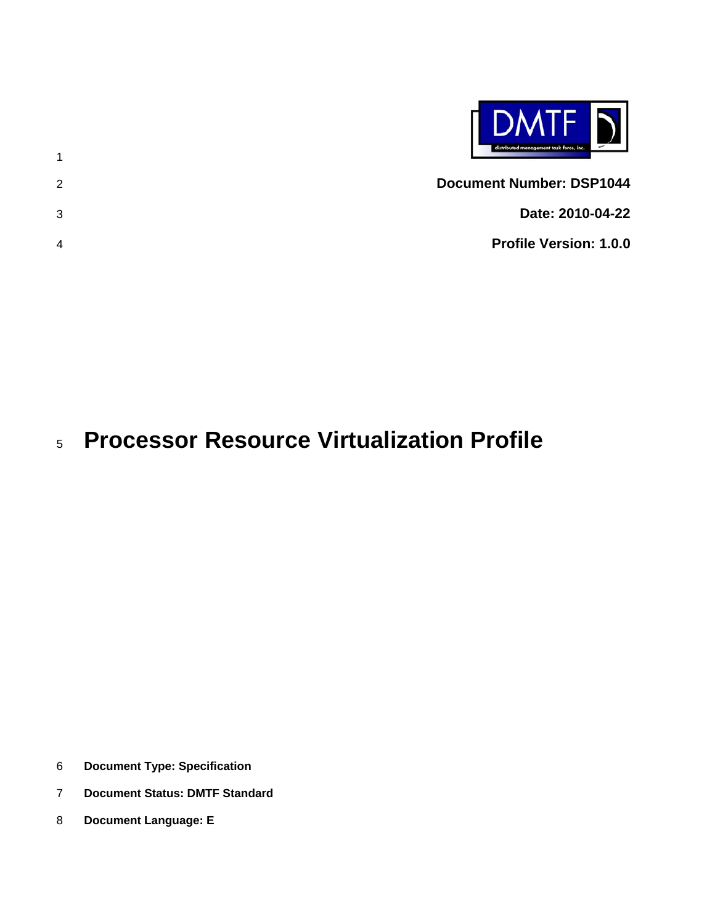

<span id="page-0-0"></span>

| <b>Document Number: DSP1044</b> | 2 |
|---------------------------------|---|
| Date: 2010-04-22                | 3 |
| <b>Profile Version: 1.0.0</b>   |   |

#### 5 **Processor Resource Virtualization Profile**

- 6 **Document Type: Specification**
- 7 **Document Status: DMTF Standard**
- 8 **Document Language: E**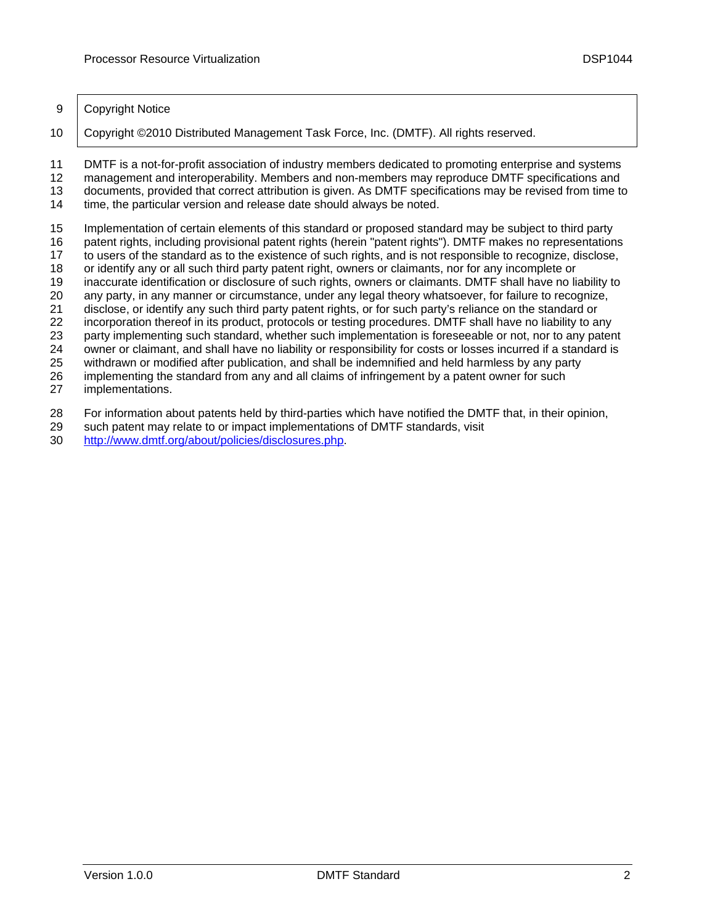#### 9 Copyright Notice

10 Copyright ©2010 Distributed Management Task Force, Inc. (DMTF). All rights reserved.

11 DMTF is a not-for-profit association of industry members dedicated to promoting enterprise and systems

12 13 management and interoperability. Members and non-members may reproduce DMTF specifications and documents, provided that correct attribution is given. As DMTF specifications may be revised from time to

14 time, the particular version and release date should always be noted.

- 15 Implementation of certain elements of this standard or proposed standard may be subject to third party
- 16 patent rights, including provisional patent rights (herein "patent rights"). DMTF makes no representations
- 17 to users of the standard as to the existence of such rights, and is not responsible to recognize, disclose,
- 18 or identify any or all such third party patent right, owners or claimants, nor for any incomplete or
- 19 20 inaccurate identification or disclosure of such rights, owners or claimants. DMTF shall have no liability to any party, in any manner or circumstance, under any legal theory whatsoever, for failure to recognize,
- 21 disclose, or identify any such third party patent rights, or for such party's reliance on the standard or
- 22 incorporation thereof in its product, protocols or testing procedures. DMTF shall have no liability to any
- 23 party implementing such standard, whether such implementation is foreseeable or not, nor to any patent
- 24 owner or claimant, and shall have no liability or responsibility for costs or losses incurred if a standard is
- 25 withdrawn or modified after publication, and shall be indemnified and held harmless by any party

26 implementing the standard from any and all claims of infringement by a patent owner for such

- 27 implementations.
- 28 For information about patents held by third-parties which have notified the DMTF that, in their opinion,
- 29 such patent may relate to or impact implementations of DMTF standards, visit
- 30 <http://www.dmtf.org/about/policies/disclosures.php>.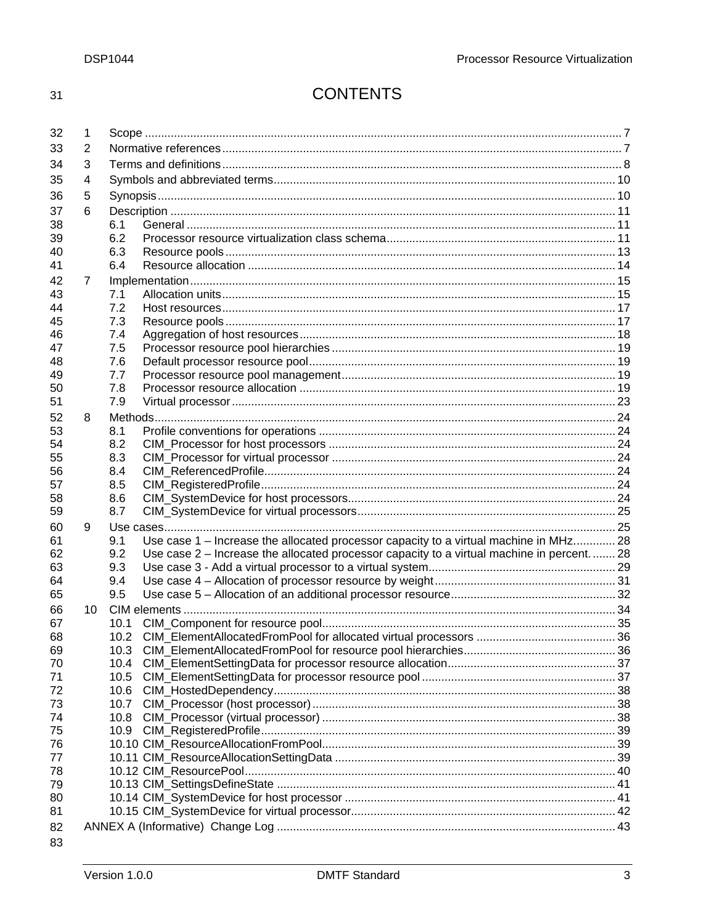$31$ 

# **CONTENTS**

| 32       | 1  |                                                                                                 |  |  |  |
|----------|----|-------------------------------------------------------------------------------------------------|--|--|--|
| 33       | 2  |                                                                                                 |  |  |  |
| 34       | 3  |                                                                                                 |  |  |  |
| 35       | 4  |                                                                                                 |  |  |  |
| 36       | 5  |                                                                                                 |  |  |  |
|          |    |                                                                                                 |  |  |  |
| 37<br>38 | 6  | 6.1                                                                                             |  |  |  |
| 39       |    | 6.2                                                                                             |  |  |  |
| 40       |    | 6.3                                                                                             |  |  |  |
| 41       |    | 6.4                                                                                             |  |  |  |
| 42       | 7  |                                                                                                 |  |  |  |
| 43       |    | 7.1                                                                                             |  |  |  |
| 44       |    | 7.2                                                                                             |  |  |  |
| 45       |    | 7.3                                                                                             |  |  |  |
| 46       |    | 7.4                                                                                             |  |  |  |
| 47       |    | 7.5                                                                                             |  |  |  |
| 48       |    | 7.6                                                                                             |  |  |  |
| 49       |    | 7.7                                                                                             |  |  |  |
| 50       |    | 7.8                                                                                             |  |  |  |
| 51       |    | 7.9                                                                                             |  |  |  |
| 52       | 8  |                                                                                                 |  |  |  |
| 53       |    | 8.1                                                                                             |  |  |  |
| 54       |    | 8.2                                                                                             |  |  |  |
| 55       |    | 8.3                                                                                             |  |  |  |
| 56       |    | 8.4                                                                                             |  |  |  |
| 57       |    | 8.5                                                                                             |  |  |  |
| 58       |    | 8.6                                                                                             |  |  |  |
| 59       |    | 8.7                                                                                             |  |  |  |
| 60       | 9  |                                                                                                 |  |  |  |
| 61       |    | Use case 1 – Increase the allocated processor capacity to a virtual machine in MHz 28<br>9.1    |  |  |  |
| 62       |    | Use case 2 – Increase the allocated processor capacity to a virtual machine in percent28<br>9.2 |  |  |  |
| 63       |    | 9.3                                                                                             |  |  |  |
| 64       |    | 9.4                                                                                             |  |  |  |
| 65       |    | 9.5                                                                                             |  |  |  |
| 66       | 10 |                                                                                                 |  |  |  |
| 67       |    | 10.1                                                                                            |  |  |  |
| 68       |    |                                                                                                 |  |  |  |
| 69       |    | 10.3                                                                                            |  |  |  |
| 70       |    | 10.4                                                                                            |  |  |  |
| 71       |    | 10.5                                                                                            |  |  |  |
| 72       |    | 10.6                                                                                            |  |  |  |
| 73       |    | 10.7                                                                                            |  |  |  |
| 74       |    | 10.8                                                                                            |  |  |  |
| 75       |    |                                                                                                 |  |  |  |
| 76       |    |                                                                                                 |  |  |  |
| 77       |    |                                                                                                 |  |  |  |
| 78       |    |                                                                                                 |  |  |  |
| 79       |    |                                                                                                 |  |  |  |
| 80       |    |                                                                                                 |  |  |  |
| 81       |    |                                                                                                 |  |  |  |
| 82       |    |                                                                                                 |  |  |  |
| 83       |    |                                                                                                 |  |  |  |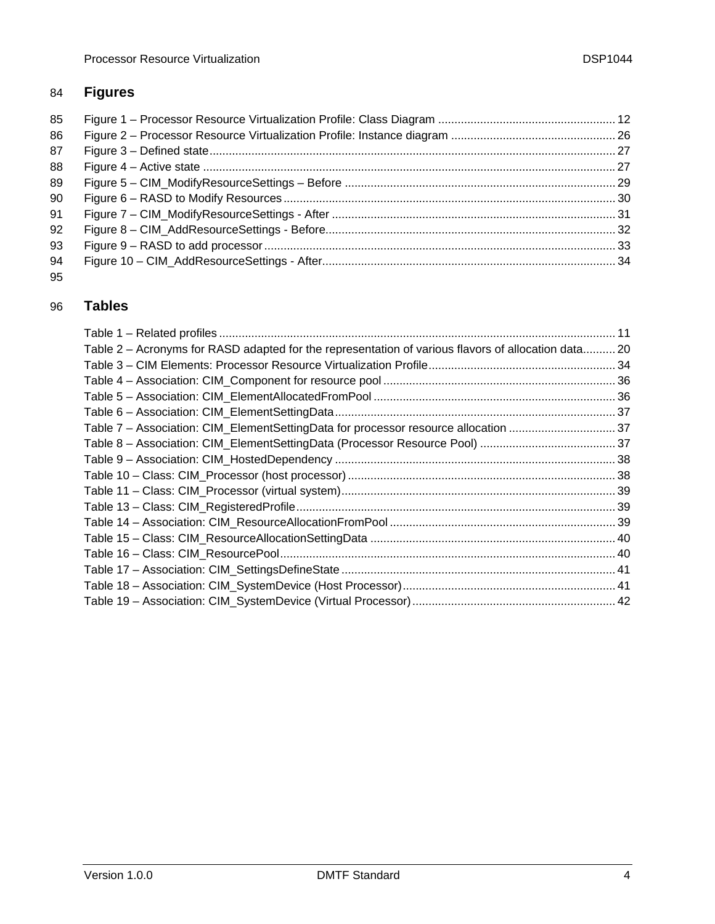# 84 **Figures**

| 85 |  |
|----|--|
| 86 |  |
| 87 |  |
| 88 |  |
| 89 |  |
| 90 |  |
| 91 |  |
| 92 |  |
| 93 |  |
| 94 |  |
|    |  |

# 95

#### 96 **Tables**

| Table 2 – Acronyms for RASD adapted for the representation of various flavors of allocation data 20 |  |
|-----------------------------------------------------------------------------------------------------|--|
|                                                                                                     |  |
|                                                                                                     |  |
|                                                                                                     |  |
|                                                                                                     |  |
| Table 7 - Association: CIM_ElementSettingData for processor resource allocation  37                 |  |
|                                                                                                     |  |
|                                                                                                     |  |
|                                                                                                     |  |
|                                                                                                     |  |
|                                                                                                     |  |
|                                                                                                     |  |
|                                                                                                     |  |
|                                                                                                     |  |
|                                                                                                     |  |
|                                                                                                     |  |
|                                                                                                     |  |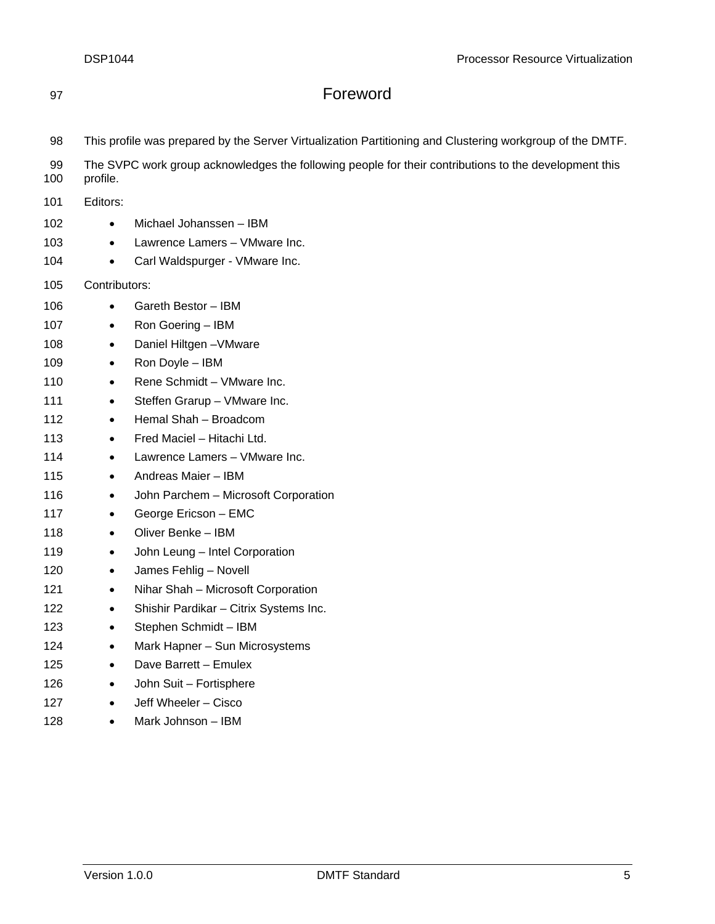| 97        |               | Foreword                                                                                                  |
|-----------|---------------|-----------------------------------------------------------------------------------------------------------|
|           |               |                                                                                                           |
| 98        |               | This profile was prepared by the Server Virtualization Partitioning and Clustering workgroup of the DMTF. |
| 99<br>100 | profile.      | The SVPC work group acknowledges the following people for their contributions to the development this     |
| 101       | Editors:      |                                                                                                           |
| 102       | $\bullet$     | Michael Johanssen - IBM                                                                                   |
| 103       | $\bullet$     | Lawrence Lamers - VMware Inc.                                                                             |
| 104       | $\bullet$     | Carl Waldspurger - VMware Inc.                                                                            |
| 105       | Contributors: |                                                                                                           |
| 106       | $\bullet$     | Gareth Bestor - IBM                                                                                       |
| 107       | $\bullet$     | Ron Goering - IBM                                                                                         |
| 108       | $\bullet$     | Daniel Hiltgen - VMware                                                                                   |
| 109       | $\bullet$     | Ron Doyle - IBM                                                                                           |
| 110       | $\bullet$     | Rene Schmidt - VMware Inc.                                                                                |
| 111       | ٠             | Steffen Grarup - VMware Inc.                                                                              |
| 112       | $\bullet$     | Hemal Shah - Broadcom                                                                                     |
| 113       | $\bullet$     | Fred Maciel - Hitachi Ltd.                                                                                |
| 114       | $\bullet$     | Lawrence Lamers - VMware Inc.                                                                             |
| 115       | $\bullet$     | Andreas Maier - IBM                                                                                       |
| 116       | $\bullet$     | John Parchem - Microsoft Corporation                                                                      |
| 117       | $\bullet$     | George Ericson - EMC                                                                                      |
| 118       | $\bullet$     | Oliver Benke - IBM                                                                                        |
| 119       | $\bullet$     | John Leung - Intel Corporation                                                                            |
| 120       | $\bullet$     | James Fehlig - Novell                                                                                     |
| 121       | $\bullet$     | Nihar Shah - Microsoft Corporation                                                                        |
| 122       |               | Shishir Pardikar - Citrix Systems Inc.                                                                    |
| 123       |               | Stephen Schmidt - IBM                                                                                     |
| 124       |               | Mark Hapner - Sun Microsystems                                                                            |
| 125       |               | Dave Barrett - Emulex                                                                                     |
| 126       | ٠             | John Suit - Fortisphere                                                                                   |
| 127       |               | Jeff Wheeler - Cisco                                                                                      |

128 • Mark Johnson – IBM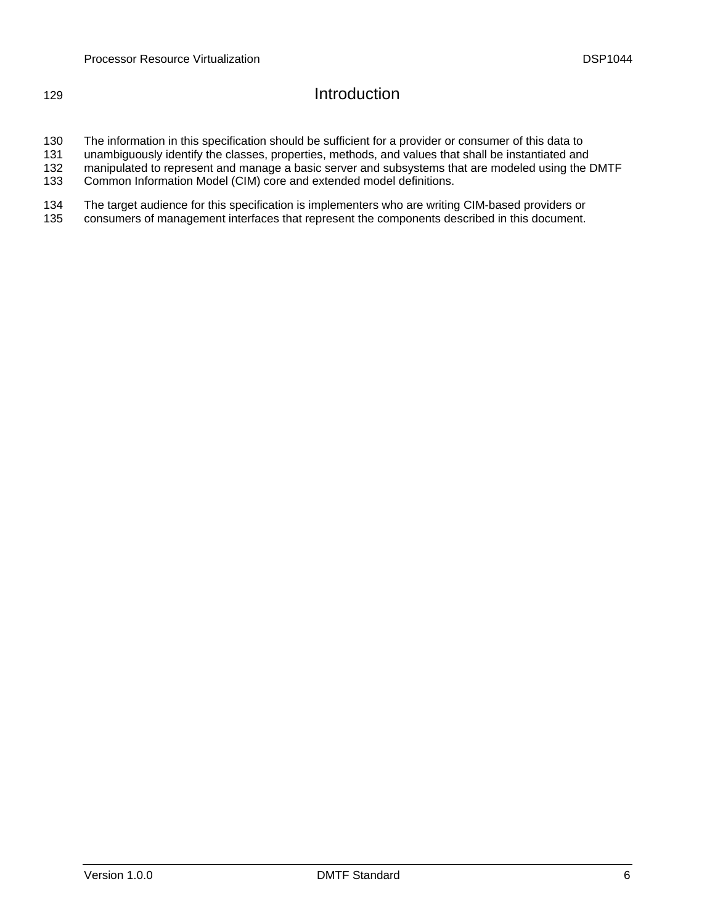## 129 Introduction

130 The information in this specification should be sufficient for a provider or consumer of this data to

131 unambiguously identify the classes, properties, methods, and values that shall be instantiated and

132 manipulated to represent and manage a basic server and subsystems that are modeled using the DMTF

133 Common Information Model (CIM) core and extended model definitions.

134 The target audience for this specification is implementers who are writing CIM-based providers or

135 consumers of management interfaces that represent the components described in this document.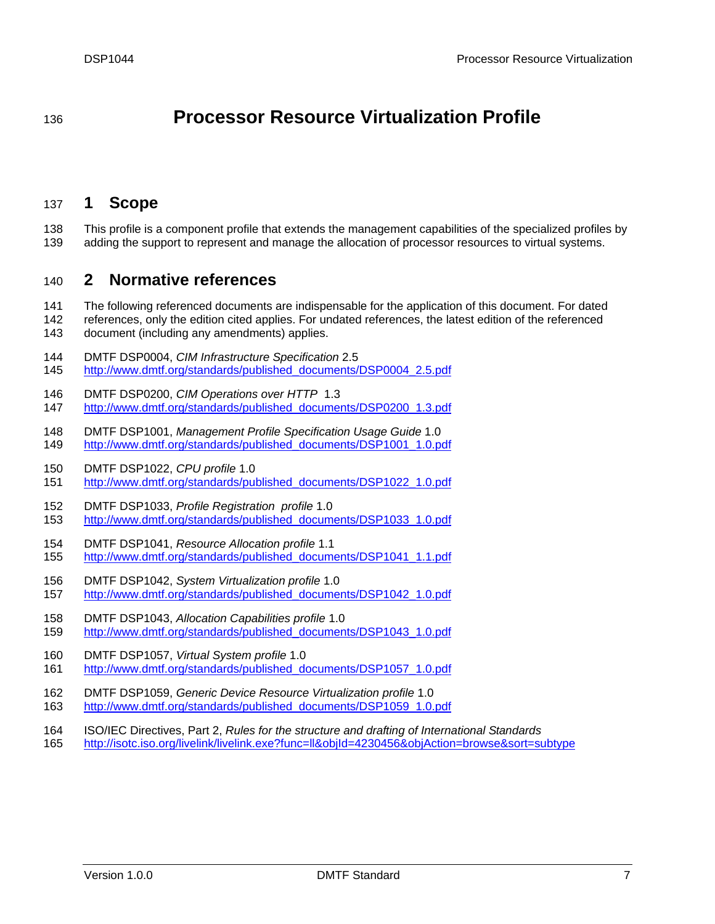# <span id="page-6-0"></span><sup>136</sup>**Processor Resource Virtualization Profile**

#### 137 **1 Scope**

- 138 This profile is a component profile that extends the management capabilities of the specialized profiles by
- 139 adding the support to represent and manage the allocation of processor resources to virtual systems.

## 140 **2 Normative references**

- 141 The following referenced documents are indispensable for the application of this document. For dated
- 142 143 references, only the edition cited applies. For undated references, the latest edition of the referenced document (including any amendments) applies.
- 144 DMTF DSP0004, *CIM Infrastructure Specification* 2.5
- 145 [http://www.dmtf.org/standards/published\\_documents/DSP0004\\_2.5.pdf](http://www.dmtf.org/standards/published_documents/DSP0004_2.5.pdf)
- 146 DMTF DSP0200, *CIM Operations over HTTP* 1.3
- 147 [http://www.dmtf.org/standards/published\\_documents/DSP0200\\_1.3.pdf](http://www.dmtf.org/standards/published_documents/DSP0200_1.3.pdf)
- <span id="page-6-4"></span>148 DMTF DSP1001, *Management Profile Specification Usage Guide* 1.0 149 [http://www.dmtf.org/standards/published\\_documents/DSP1001\\_1.0.pdf](http://www.dmtf.org/standards/published_documents/DSP1001_1.0.pdf)
- <span id="page-6-5"></span>150 DMTF DSP1022, *CPU profile* 1.0 151 [http://www.dmtf.org/standards/published\\_documents/DSP1022\\_1.0.pdf](http://www.dmtf.org/standards/published_documents/DSP1022_1.0.pdf)
- <span id="page-6-3"></span>152 DMTF DSP1033, *Profile Registration profile* 1.0
- 153 [http://www.dmtf.org/standards/published\\_documents/DSP1033\\_1.0.pdf](http://www.dmtf.org/standards/published_documents/DSP1033_1.0.pdf)
- <span id="page-6-1"></span>154 DMTF DSP1041, *Resource Allocation profile* 1.1 155 [http://www.dmtf.org/standards/published\\_documents/DSP1041\\_1.1.pdf](http://www.dmtf.org/standards/published_documents/DSP1041_1.1.pdf)
- 156 DMTF DSP1042, *System Virtualization profile* 1.0 157 [http://www.dmtf.org/standards/published\\_documents/DSP1042\\_1.0.pdf](http://www.dmtf.org/standards/published_documents/DSP1042_1.0.pdf)
- <span id="page-6-2"></span>158 DMTF DSP1043, *Allocation Capabilities profile* 1.0
- 159 [http://www.dmtf.org/standards/published\\_documents/DSP1043\\_1.0.pdf](http://www.dmtf.org/standards/published_documents/DSP1043_1.0.pdf)
- 160 DMTF DSP1057, *Virtual System profile* 1.0 161 [http://www.dmtf.org/standards/published\\_documents/DSP1057\\_1.0.pdf](http://www.dmtf.org/standards/published_documents/DSP1057_1.0.pdf)
- 162 DMTF DSP1059, *Generic Device Resource Virtualization profile* 1.0
- 163 [http://www.dmtf.org/standards/published\\_documents/DSP1059\\_1.0.pdf](http://www.dmtf.org/standards/published_documents/DSP1059_1.0.pdf)
- 164 ISO/IEC Directives, Part 2, *Rules for the structure and drafting of International Standards*
- 165 <http://isotc.iso.org/livelink/livelink.exe?func=ll&objId=4230456&objAction=browse&sort=subtype>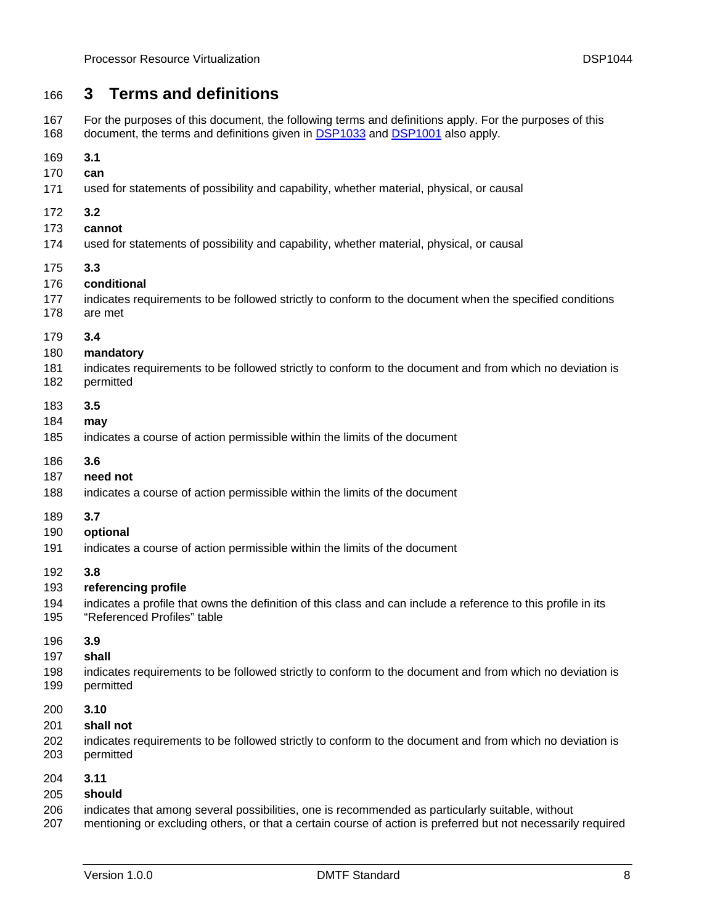<span id="page-7-0"></span>

| 166 | 3 Terms and definitions                                                                                       |  |  |  |
|-----|---------------------------------------------------------------------------------------------------------------|--|--|--|
| 167 | For the purposes of this document, the following terms and definitions apply. For the purposes of this        |  |  |  |
| 168 | document, the terms and definitions given in <b>DSP1033</b> and <b>DSP1001</b> also apply.                    |  |  |  |
| 169 | 3.1                                                                                                           |  |  |  |
| 170 | can                                                                                                           |  |  |  |
| 171 | used for statements of possibility and capability, whether material, physical, or causal                      |  |  |  |
| 172 | 3.2                                                                                                           |  |  |  |
| 173 | cannot                                                                                                        |  |  |  |
| 174 | used for statements of possibility and capability, whether material, physical, or causal                      |  |  |  |
| 175 | 3.3                                                                                                           |  |  |  |
| 176 | conditional                                                                                                   |  |  |  |
| 177 | indicates requirements to be followed strictly to conform to the document when the specified conditions       |  |  |  |
| 178 | are met                                                                                                       |  |  |  |
| 179 | 3.4                                                                                                           |  |  |  |
| 180 | mandatory                                                                                                     |  |  |  |
| 181 | indicates requirements to be followed strictly to conform to the document and from which no deviation is      |  |  |  |
| 182 | permitted                                                                                                     |  |  |  |
| 183 | 3.5                                                                                                           |  |  |  |
| 184 | may                                                                                                           |  |  |  |
| 185 | indicates a course of action permissible within the limits of the document                                    |  |  |  |
| 186 | 3.6                                                                                                           |  |  |  |
| 187 | need not                                                                                                      |  |  |  |
| 188 | indicates a course of action permissible within the limits of the document                                    |  |  |  |
| 189 | 3.7                                                                                                           |  |  |  |
| 190 | optional                                                                                                      |  |  |  |
| 191 | indicates a course of action permissible within the limits of the document                                    |  |  |  |
| 192 | 3.8                                                                                                           |  |  |  |
| 193 | referencing profile                                                                                           |  |  |  |
| 194 | indicates a profile that owns the definition of this class and can include a reference to this profile in its |  |  |  |
| 195 | "Referenced Profiles" table                                                                                   |  |  |  |
| 196 | 3.9                                                                                                           |  |  |  |
| 197 | shall                                                                                                         |  |  |  |
| 198 | indicates requirements to be followed strictly to conform to the document and from which no deviation is      |  |  |  |
| 199 | permitted                                                                                                     |  |  |  |
| 200 | 3.10                                                                                                          |  |  |  |
| 201 | shall not                                                                                                     |  |  |  |
| 202 | indicates requirements to be followed strictly to conform to the document and from which no deviation is      |  |  |  |
| 203 | permitted                                                                                                     |  |  |  |
| 204 | 3.11                                                                                                          |  |  |  |
| 205 | should                                                                                                        |  |  |  |
| 206 | indicates that among several possibilities, one is recommended as particularly suitable, without              |  |  |  |
| 207 | mentioning or excluding others, or that a certain course of action is preferred but not necessarily required  |  |  |  |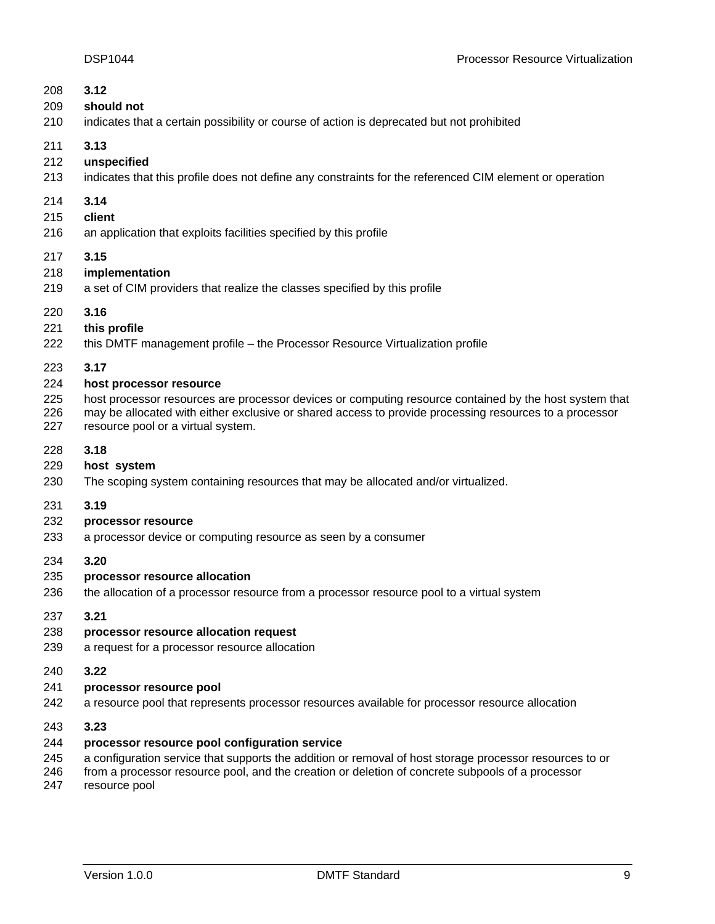| 208 | 3.12                                                                                                    |
|-----|---------------------------------------------------------------------------------------------------------|
| 209 | should not                                                                                              |
| 210 | indicates that a certain possibility or course of action is deprecated but not prohibited               |
| 211 | 3.13                                                                                                    |
| 212 | unspecified                                                                                             |
| 213 | indicates that this profile does not define any constraints for the referenced CIM element or operation |
| 214 | 3.14                                                                                                    |
| 215 | client                                                                                                  |
| 216 | an application that exploits facilities specified by this profile                                       |
| 217 | 3.15                                                                                                    |
| 218 | implementation                                                                                          |
| 219 | a set of CIM providers that realize the classes specified by this profile                               |
| 220 | 3.16                                                                                                    |
| 221 | this profile                                                                                            |
| 222 | this DMTF management profile - the Processor Resource Virtualization profile                            |
| 223 | 3.17                                                                                                    |
| 224 | host processor resource                                                                                 |
| 225 | host processor resources are processor devices or computing resource contained by the host system that  |
| 226 | may be allocated with either exclusive or shared access to provide processing resources to a processor  |
| 227 | resource pool or a virtual system.                                                                      |
| 228 | 3.18                                                                                                    |
| 229 | host system                                                                                             |
| 230 | The scoping system containing resources that may be allocated and/or virtualized.                       |
| 231 | 3.19                                                                                                    |
| 232 | processor resource                                                                                      |
| 233 | a processor device or computing resource as seen by a consumer                                          |
| 234 | 3.20                                                                                                    |
| 235 | processor resource allocation                                                                           |
| 236 | the allocation of a processor resource from a processor resource pool to a virtual system               |
| 237 | 3.21                                                                                                    |
| 238 | processor resource allocation request                                                                   |
| 239 | a request for a processor resource allocation                                                           |
| 240 | 3.22                                                                                                    |
| 241 | processor resource pool                                                                                 |
| 242 | a resource pool that represents processor resources available for processor resource allocation         |
| 243 | 3.23                                                                                                    |
| 244 | processor resource pool configuration service                                                           |
| 245 | a configuration service that supports the addition or removal of host storage processor resources to or |
| 246 | from a processor resource pool, and the creation or deletion of concrete subpools of a processor        |
| 247 | resource pool                                                                                           |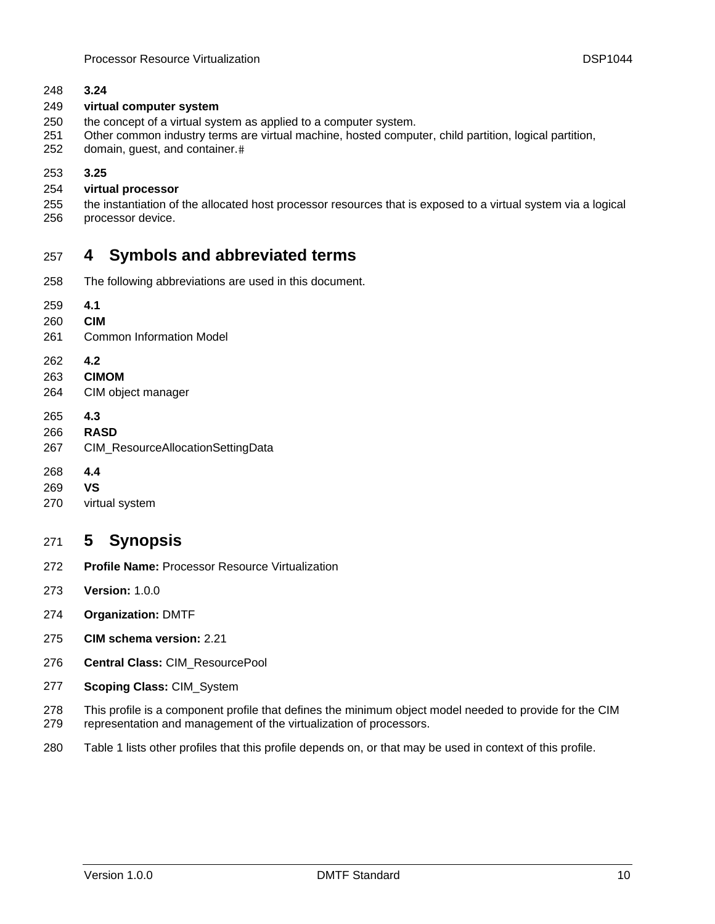#### <span id="page-9-0"></span>248 **3.24**

#### 249 **virtual computer system**

- 250 the concept of a virtual system as applied to a computer system.
- 251 Other common industry terms are virtual machine, hosted computer, child partition, logical partition,
- 252 domain, guest, and container.

#### 253 **3.25**

- 254 **virtual processor**
- 255 the instantiation of the allocated host processor resources that is exposed to a virtual system via a logical
- 256 processor device.

## 257 **4 Symbols and abbreviated terms**

- 258 The following abbreviations are used in this document.
- 259 **4.1**
- 260 **CIM**
- 261 Common Information Model
- 262 **4.2**
- 263 **CIMOM**
- 264 CIM object manager
- 265 **4.3**
- 266 **RASD**
- 267 CIM\_ResourceAllocationSettingData
- 268 **4.4**
- 269 **VS**
- 270 virtual system

## 271 **5 Synopsis**

- 272 **Profile Name:** Processor Resource Virtualization
- 273 **Version:** 1.0.0
- 274 **Organization:** DMTF
- 275 **CIM schema version:** 2.21
- 276 **Central Class:** CIM\_ResourcePool
- 277 **Scoping Class:** CIM\_System

278 279 This profile is a component profile that defines the minimum object model needed to provide for the CIM representation and management of the virtualization of processors.

280 [Table 1](#page-10-1) lists other profiles that this profile depends on, or that may be used in context of this profile.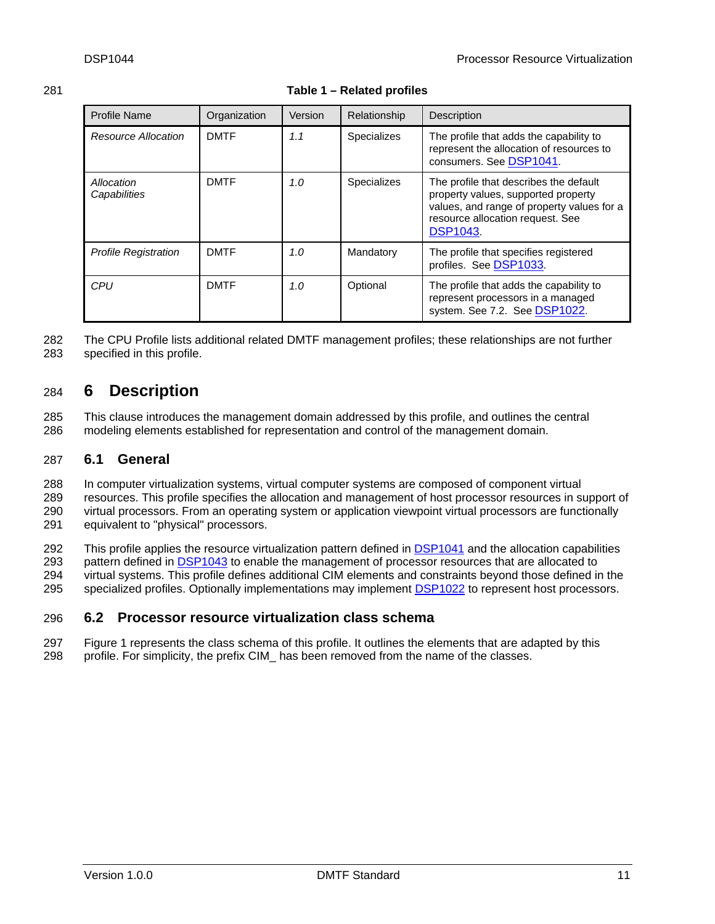<span id="page-10-1"></span>

<span id="page-10-0"></span>

| 281 | Table 1 – Related profiles |
|-----|----------------------------|
|     |                            |

| <b>Profile Name</b>         | Organization | Version | Relationship       | Description                                                                                                                                                                       |
|-----------------------------|--------------|---------|--------------------|-----------------------------------------------------------------------------------------------------------------------------------------------------------------------------------|
| Resource Allocation         | <b>DMTF</b>  | 1.1     | <b>Specializes</b> | The profile that adds the capability to<br>represent the allocation of resources to<br>consumers. See DSP1041.                                                                    |
| Allocation<br>Capabilities  | <b>DMTF</b>  | 1.0     | <b>Specializes</b> | The profile that describes the default<br>property values, supported property<br>values, and range of property values for a<br>resource allocation request. See<br><b>DSP1043</b> |
| <b>Profile Registration</b> | <b>DMTF</b>  | 1.0     | Mandatory          | The profile that specifies registered<br>profiles. See DSP1033.                                                                                                                   |
| <b>CPU</b>                  | <b>DMTF</b>  | 1.0     | Optional           | The profile that adds the capability to<br>represent processors in a managed<br>system. See 7.2. See DSP1022.                                                                     |

The CPU Profile lists additional related DMTF management profiles; these relationships are not further specified in this profile. 282 283

## 284 **6 Description**

285 286 This clause introduces the management domain addressed by this profile, and outlines the central modeling elements established for representation and control of the management domain.

#### 287 **6.1 General**

288 289 290 291 In computer virtualization systems, virtual computer systems are composed of component virtual resources. This profile specifies the allocation and management of host processor resources in support of virtual processors. From an operating system or application viewpoint virtual processors are functionally equivalent to "physical" processors.

This profile applies the resource virtualization pattern defined in [DSP1041](#page-6-0) and the allocation capabilities pattern defined in **DSP1043** to enable the management of processor resources that are allocated to 292 virtual systems. This profile defines additional CIM elements and constraints beyond those defined in the 295 specialized profiles. Optionally implementations may implement **[DSP1022](#page-6-0)** to represent host processors. 293 294

#### 296 **6.2 Processor resource virtualization class schema**

297 298 [Figure 1](#page-11-1) represents the class schema of this profile. It outlines the elements that are adapted by this profile. For simplicity, the prefix CIM\_ has been removed from the name of the classes.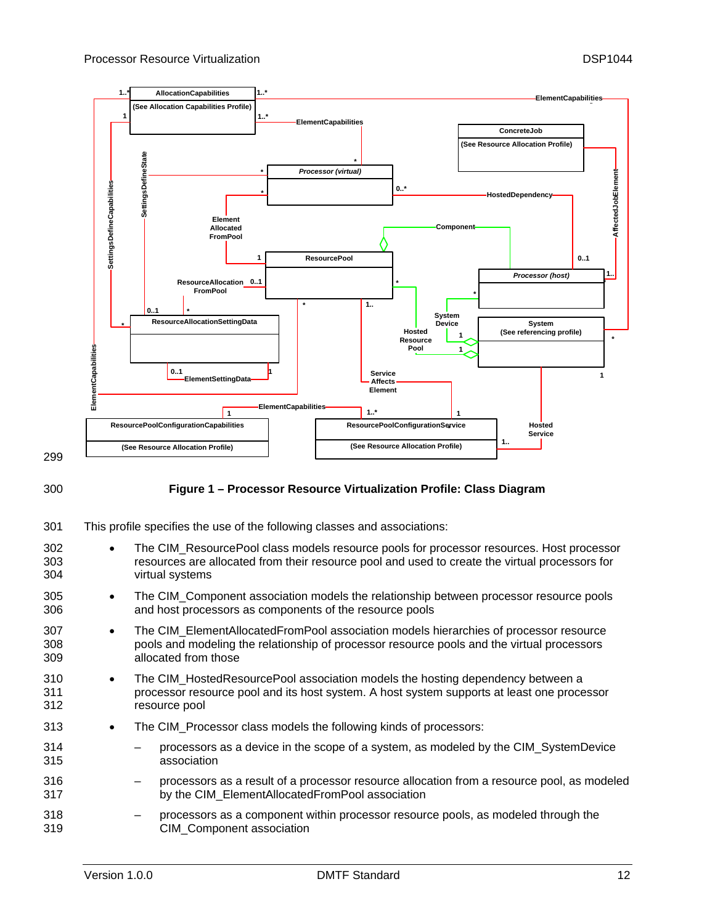<span id="page-11-0"></span>

#### 299

## <span id="page-11-1"></span>300 **Figure 1 – Processor Resource Virtualization Profile: Class Diagram**

301 This profile specifies the use of the following classes and associations:

| 302<br>303<br>304              | The CIM_ResourcePool class models resource pools for processor resources. Host processor<br>resources are allocated from their resource pool and used to create the virtual processors for<br>virtual systems |
|--------------------------------|---------------------------------------------------------------------------------------------------------------------------------------------------------------------------------------------------------------|
| 305<br>306                     | The CIM_Component association models the relationship between processor resource pools<br>and host processors as components of the resource pools                                                             |
| 307<br>308<br>309              | The CIM_ElementAllocatedFromPool association models hierarchies of processor resource<br>pools and modeling the relationship of processor resource pools and the virtual processors<br>allocated from those   |
| 310<br>$\bullet$<br>311<br>312 | The CIM_HostedResourcePool association models the hosting dependency between a<br>processor resource pool and its host system. A host system supports at least one processor<br>resource pool                 |
| 313<br>$\bullet$               | The CIM_Processor class models the following kinds of processors:                                                                                                                                             |
| 314<br>315                     | processors as a device in the scope of a system, as modeled by the CIM_SystemDevice<br>association                                                                                                            |
| 316<br>317                     | processors as a result of a processor resource allocation from a resource pool, as modeled<br>by the CIM ElementAllocatedFromPool association                                                                 |
| 318<br>319                     | processors as a component within processor resource pools, as modeled through the<br>CIM_Component association                                                                                                |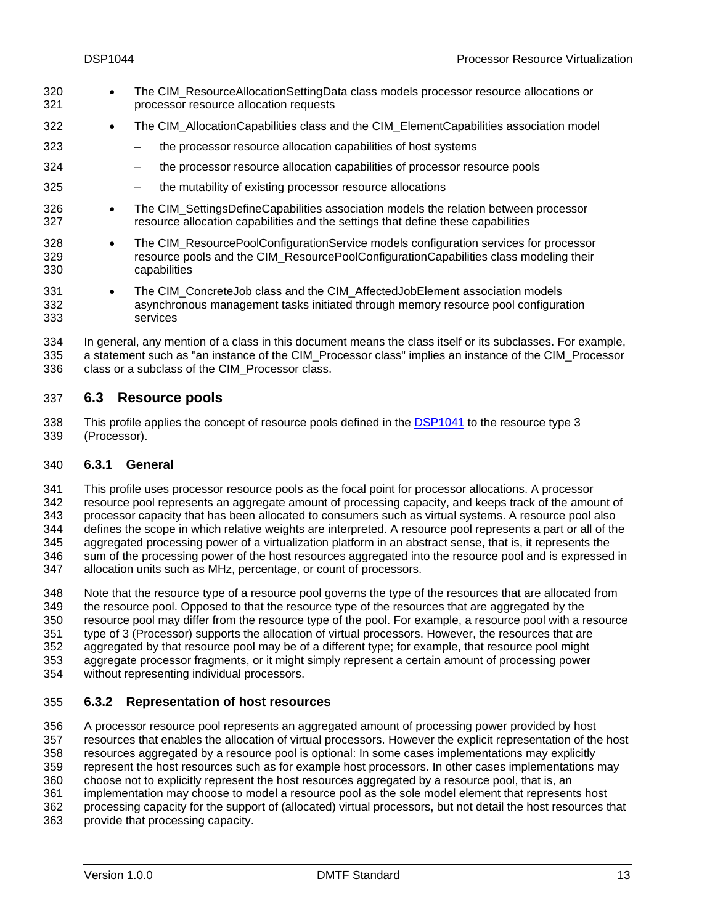- <span id="page-12-0"></span>• The CIM\_ResourceAllocationSettingData class models processor resource allocations or processor resource allocation requests 320 321 322 323 • The CIM AllocationCapabilities class and the CIM ElementCapabilities association model the processor resource allocation capabilities of host systems
- 324 – the processor resource allocation capabilities of processor resource pools
- 325 – the mutability of existing processor resource allocations
- 326 327 • The CIM SettingsDefineCapabilities association models the relation between processor resource allocation capabilities and the settings that define these capabilities
- 328 329 330 • The CIM\_ResourcePoolConfigurationService models configuration services for processor resource pools and the CIM\_ResourcePoolConfigurationCapabilities class modeling their capabilities
- 331 332 333 • The CIM\_ConcreteJob class and the CIM\_AffectedJobElement association models asynchronous management tasks initiated through memory resource pool configuration services
- 334 In general, any mention of a class in this document means the class itself or its subclasses. For example,

335 336 a statement such as "an instance of the CIM\_Processor class" implies an instance of the CIM\_Processor class or a subclass of the CIM\_Processor class.

#### 337 **6.3 Resource pools**

This profile applies the concept of resource pools defined in the **DSP1041** to the resource type 3 (Processor). 338 339

#### 340 **6.3.1 General**

341 342 343 344 345 346 347 This profile uses processor resource pools as the focal point for processor allocations. A processor resource pool represents an aggregate amount of processing capacity, and keeps track of the amount of processor capacity that has been allocated to consumers such as virtual systems. A resource pool also defines the scope in which relative weights are interpreted. A resource pool represents a part or all of the aggregated processing power of a virtualization platform in an abstract sense, that is, it represents the sum of the processing power of the host resources aggregated into the resource pool and is expressed in allocation units such as MHz, percentage, or count of processors.

348 349 350 351 352 353 354 Note that the resource type of a resource pool governs the type of the resources that are allocated from the resource pool. Opposed to that the resource type of the resources that are aggregated by the resource pool may differ from the resource type of the pool. For example, a resource pool with a resource type of 3 (Processor) supports the allocation of virtual processors. However, the resources that are aggregated by that resource pool may be of a different type; for example, that resource pool might aggregate processor fragments, or it might simply represent a certain amount of processing power without representing individual processors.

#### 355 **6.3.2 Representation of host resources**

356 357 358 359 360 361 362 363 A processor resource pool represents an aggregated amount of processing power provided by host resources that enables the allocation of virtual processors. However the explicit representation of the host resources aggregated by a resource pool is optional: In some cases implementations may explicitly represent the host resources such as for example host processors. In other cases implementations may choose not to explicitly represent the host resources aggregated by a resource pool, that is, an implementation may choose to model a resource pool as the sole model element that represents host processing capacity for the support of (allocated) virtual processors, but not detail the host resources that provide that processing capacity.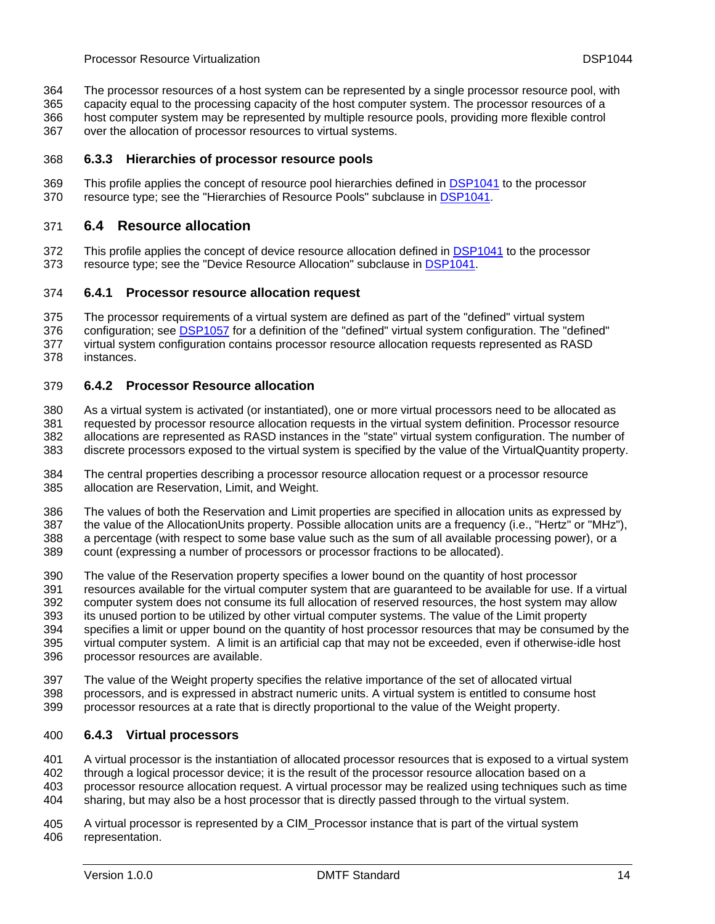- <span id="page-13-0"></span>The processor resources of a host system can be represented by a single processor resource pool, with 364
- capacity equal to the processing capacity of the host computer system. The processor resources of a host computer system may be represented by multiple resource pools, providing more flexible control 365 366
- over the allocation of processor resources to virtual systems. 367

#### 368 **6.3.3 Hierarchies of processor resource pools**

This profile applies the concept of resource pool hierarchies defined in [DSP1041](#page-6-0) to the processor 370 resource type; see the "Hierarchies of Resource Pools" subclause in [DSP1041.](#page-6-0) 369

#### 371 **6.4 Resource allocation**

This profile applies the concept of device resource allocation defined in [DSP1041](#page-6-0) to the processor 373 resource type; see the "Device Resource Allocation" subclause in [DSP1041](#page-6-0). 372

#### <span id="page-13-1"></span>374 **6.4.1 Processor resource allocation request**

375 The processor requirements of a virtual system are defined as part of the "defined" virtual system configuration; see [DSP1057](#page-6-0) for a definition of the "defined" virtual system configuration. The "defined" virtual system configuration contains processor resource allocation requests represented as RASD instances. 376 377 378

- <span id="page-13-2"></span>379 **6.4.2 Processor Resource allocation**
- 380 381 382 383 As a virtual system is activated (or instantiated), one or more virtual processors need to be allocated as requested by processor resource allocation requests in the virtual system definition. Processor resource allocations are represented as RASD instances in the "state" virtual system configuration. The number of discrete processors exposed to the virtual system is specified by the value of the VirtualQuantity property.
- 384 385 The central properties describing a processor resource allocation request or a processor resource allocation are Reservation, Limit, and Weight.
- 386 387 388 The values of both the Reservation and Limit properties are specified in allocation units as expressed by the value of the AllocationUnits property. Possible allocation units are a frequency (i.e., "Hertz" or "MHz"), a percentage (with respect to some base value such as the sum of all available processing power), or a
- 389 count (expressing a number of processors or processor fractions to be allocated).
- 390 The value of the Reservation property specifies a lower bound on the quantity of host processor
- 391 392 393 394 395 396 resources available for the virtual computer system that are guaranteed to be available for use. If a virtual computer system does not consume its full allocation of reserved resources, the host system may allow its unused portion to be utilized by other virtual computer systems. The value of the Limit property specifies a limit or upper bound on the quantity of host processor resources that may be consumed by the virtual computer system. A limit is an artificial cap that may not be exceeded, even if otherwise-idle host processor resources are available.
- 397 398 The value of the Weight property specifies the relative importance of the set of allocated virtual processors, and is expressed in abstract numeric units. A virtual system is entitled to consume host
- 399 processor resources at a rate that is directly proportional to the value of the Weight property.

#### 400 **6.4.3 Virtual processors**

401 402 403 404 A virtual processor is the instantiation of allocated processor resources that is exposed to a virtual system through a logical processor device; it is the result of the processor resource allocation based on a processor resource allocation request. A virtual processor may be realized using techniques such as time sharing, but may also be a host processor that is directly passed through to the virtual system.

405 406 A virtual processor is represented by a CIM\_Processor instance that is part of the virtual system representation.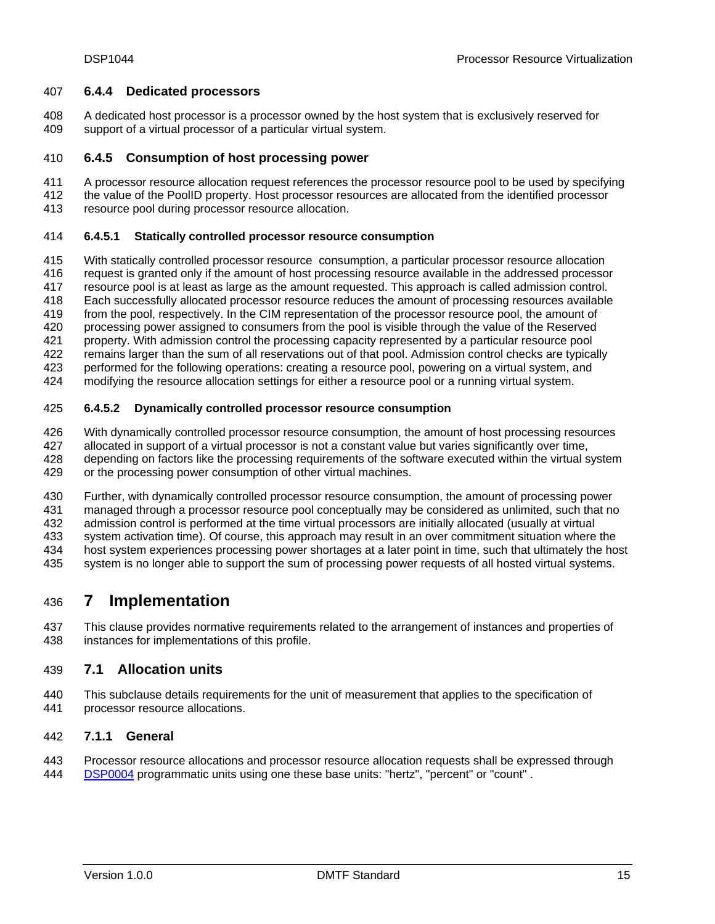#### <span id="page-14-0"></span>407 **6.4.4 Dedicated processors**

A dedicated host processor is a processor owned by the host system that is exclusively reserved for support of a virtual processor of a particular virtual system. 408 409

#### 410 **6.4.5 Consumption of host processing power**

411 A processor resource allocation request references the processor resource pool to be used by specifying

- 412 the value of the PoolID property. Host processor resources are allocated from the identified processor
- 413 resource pool during processor resource allocation.

#### 414 **6.4.5.1 Statically controlled processor resource consumption**

415 416 417 418 419 420 421 422 423 424 With statically controlled processor resource consumption, a particular processor resource allocation request is granted only if the amount of host processing resource available in the addressed processor resource pool is at least as large as the amount requested. This approach is called admission control. Each successfully allocated processor resource reduces the amount of processing resources available from the pool, respectively. In the CIM representation of the processor resource pool, the amount of processing power assigned to consumers from the pool is visible through the value of the Reserved property. With admission control the processing capacity represented by a particular resource pool remains larger than the sum of all reservations out of that pool. Admission control checks are typically performed for the following operations: creating a resource pool, powering on a virtual system, and modifying the resource allocation settings for either a resource pool or a running virtual system.

#### 425 **6.4.5.2 Dynamically controlled processor resource consumption**

426 427 428 429 With dynamically controlled processor resource consumption, the amount of host processing resources allocated in support of a virtual processor is not a constant value but varies significantly over time, depending on factors like the processing requirements of the software executed within the virtual system or the processing power consumption of other virtual machines.

430 Further, with dynamically controlled processor resource consumption, the amount of processing power

431 managed through a processor resource pool conceptually may be considered as unlimited, such that no

432 admission control is performed at the time virtual processors are initially allocated (usually at virtual

433 system activation time). Of course, this approach may result in an over commitment situation where the

434 435 host system experiences processing power shortages at a later point in time, such that ultimately the host system is no longer able to support the sum of processing power requests of all hosted virtual systems.

## <span id="page-14-1"></span>436 **7 Implementation**

437 438 This clause provides normative requirements related to the arrangement of instances and properties of instances for implementations of this profile.

#### <span id="page-14-2"></span>439 **7.1 Allocation units**

440 441 This subclause details requirements for the unit of measurement that applies to the specification of processor resource allocations.

#### 442 **7.1.1 General**

443 Processor resource allocations and processor resource allocation requests shall be expressed through 444 [DSP0004](#page-6-0) programmatic units using one these base units: "hertz", "percent" or "count" .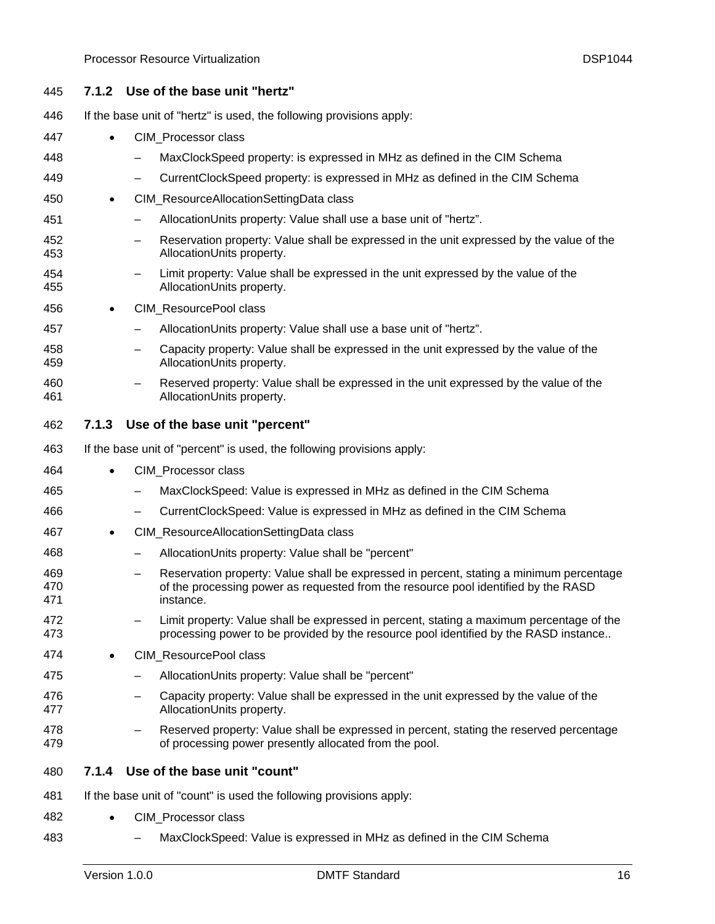| 445               | 7.1.2 | Use of the base unit "hertz"                                                                                                                                                                    |
|-------------------|-------|-------------------------------------------------------------------------------------------------------------------------------------------------------------------------------------------------|
| 446               |       | If the base unit of "hertz" is used, the following provisions apply:                                                                                                                            |
| 447               |       | CIM_Processor class                                                                                                                                                                             |
| 448               |       | MaxClockSpeed property: is expressed in MHz as defined in the CIM Schema<br>—                                                                                                                   |
| 449               |       | CurrentClockSpeed property: is expressed in MHz as defined in the CIM Schema                                                                                                                    |
| 450               |       | CIM_ResourceAllocationSettingData class                                                                                                                                                         |
| 451               |       | AllocationUnits property: Value shall use a base unit of "hertz".                                                                                                                               |
| 452<br>453        |       | Reservation property: Value shall be expressed in the unit expressed by the value of the<br>—<br>AllocationUnits property.                                                                      |
| 454<br>455        |       | Limit property: Value shall be expressed in the unit expressed by the value of the<br>-<br>AllocationUnits property.                                                                            |
| 456               |       | CIM ResourcePool class                                                                                                                                                                          |
| 457               |       | AllocationUnits property: Value shall use a base unit of "hertz".                                                                                                                               |
| 458<br>459        |       | Capacity property: Value shall be expressed in the unit expressed by the value of the<br>—<br>AllocationUnits property.                                                                         |
| 460<br>461        |       | Reserved property: Value shall be expressed in the unit expressed by the value of the<br>AllocationUnits property.                                                                              |
| 462               | 7.1.3 | Use of the base unit "percent"                                                                                                                                                                  |
| 463               |       | If the base unit of "percent" is used, the following provisions apply:                                                                                                                          |
| 464               |       | CIM_Processor class                                                                                                                                                                             |
| 465               |       | MaxClockSpeed: Value is expressed in MHz as defined in the CIM Schema<br>—                                                                                                                      |
| 466               |       | CurrentClockSpeed: Value is expressed in MHz as defined in the CIM Schema                                                                                                                       |
| 467               |       | CIM_ResourceAllocationSettingData class                                                                                                                                                         |
| 468               |       | AllocationUnits property: Value shall be "percent"                                                                                                                                              |
| 469<br>470<br>471 |       | Reservation property: Value shall be expressed in percent, stating a minimum percentage<br>-<br>of the processing power as requested from the resource pool identified by the RASD<br>instance. |
| 472<br>473        |       | Limit property: Value shall be expressed in percent, stating a maximum percentage of the<br>processing power to be provided by the resource pool identified by the RASD instance                |
| 474               |       | CIM_ResourcePool class                                                                                                                                                                          |
| 475               |       | AllocationUnits property: Value shall be "percent"                                                                                                                                              |
| 476<br>477        |       | Capacity property: Value shall be expressed in the unit expressed by the value of the<br>-<br>AllocationUnits property.                                                                         |
| 478<br>479        |       | Reserved property: Value shall be expressed in percent, stating the reserved percentage<br>of processing power presently allocated from the pool.                                               |
| 480               | 7.1.4 | Use of the base unit "count"                                                                                                                                                                    |
| 481               |       | If the base unit of "count" is used the following provisions apply:                                                                                                                             |
| 482               |       | CIM_Processor class                                                                                                                                                                             |

483 – MaxClockSpeed: Value is expressed in MHz as defined in the CIM Schema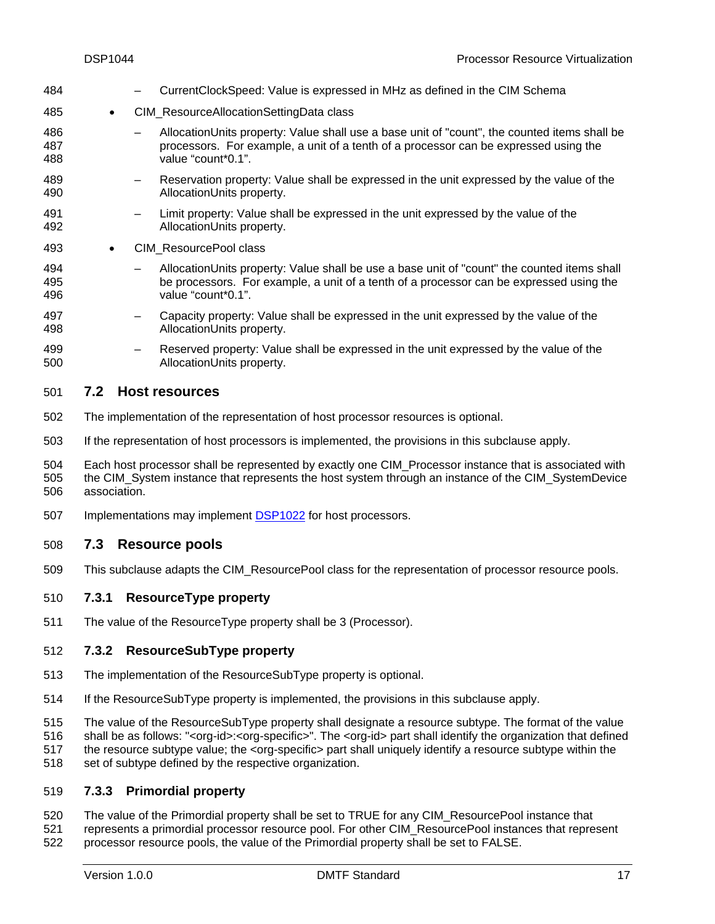<span id="page-16-0"></span>484 – CurrentClockSpeed: Value is expressed in MHz as defined in the CIM Schema

485

- CIM\_ResourceAllocationSettingData class
- 486 487 488 – AllocationUnits property: Value shall use a base unit of "count", the counted items shall be processors. For example, a unit of a tenth of a processor can be expressed using the value "count\*0.1".
- 489 490 – Reservation property: Value shall be expressed in the unit expressed by the value of the AllocationUnits property.
- 491 492 – Limit property: Value shall be expressed in the unit expressed by the value of the AllocationUnits property.
- 493 • CIM\_ResourcePool class
- 494 495 496 – AllocationUnits property: Value shall be use a base unit of "count" the counted items shall be processors. For example, a unit of a tenth of a processor can be expressed using the value "count\*0.1".
- 497 498 – Capacity property: Value shall be expressed in the unit expressed by the value of the AllocationUnits property.
- 499 500 – Reserved property: Value shall be expressed in the unit expressed by the value of the AllocationUnits property.

#### <span id="page-16-1"></span>501 **7.2 Host resources**

- 502 The implementation of the representation of host processor resources is optional.
- 503 If the representation of host processors is implemented, the provisions in this subclause apply.
- 504 505 506 Each host processor shall be represented by exactly one CIM\_Processor instance that is associated with the CIM\_System instance that represents the host system through an instance of the CIM\_SystemDevice association.
- 507 Implementations may implement [DSP1022](#page-6-0) for host processors.

#### <span id="page-16-2"></span>508 **7.3 Resource pools**

509 This subclause adapts the CIM\_ResourcePool class for the representation of processor resource pools.

#### 510 **7.3.1 ResourceType property**

511 The value of the ResourceType property shall be 3 (Processor).

#### <span id="page-16-4"></span>512 **7.3.2 ResourceSubType property**

- 513 The implementation of the ResourceSubType property is optional.
- 514 If the ResourceSubType property is implemented, the provisions in this subclause apply.
- 515 The value of the ResourceSubType property shall designate a resource subtype. The format of the value
- 516 shall be as follows: "<org-id>:<org-specific>". The <org-id> part shall identify the organization that defined
- 517 the resource subtype value; the <org-specific> part shall uniquely identify a resource subtype within the
- 518 set of subtype defined by the respective organization.

#### <span id="page-16-3"></span>519 **7.3.3 Primordial property**

520 The value of the Primordial property shall be set to TRUE for any CIM\_ResourcePool instance that

521 522 represents a primordial processor resource pool. For other CIM\_ResourcePool instances that represent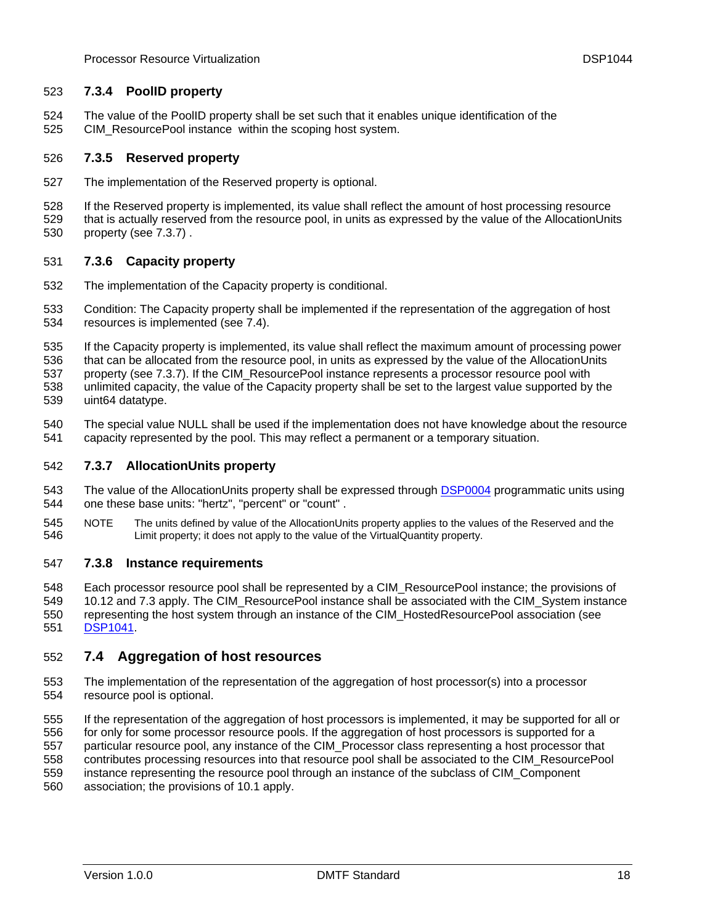#### <span id="page-17-4"></span><span id="page-17-0"></span>523 **7.3.4 PoolID property**

The value of the PoolID property shall be set such that it enables unique identification of the CIM\_ResourcePool instance within the scoping host system. 524 525

#### <span id="page-17-6"></span>526 **7.3.5 Reserved property**

- 527 The implementation of the Reserved property is optional.
- 528 529 If the Reserved property is implemented, its value shall reflect the amount of host processing resource that is actually reserved from the resource pool, in units as expressed by the value of the AllocationUnits
- 530 property (see [7.3.7\)](#page-17-1) .

#### <span id="page-17-5"></span>531 **7.3.6 Capacity property**

- 532 The implementation of the Capacity property is conditional.
- 533 534 Condition: The Capacity property shall be implemented if the representation of the aggregation of host resources is implemented (see [7.4\)](#page-17-2).
- 535 If the Capacity property is implemented, its value shall reflect the maximum amount of processing power
- 536 that can be allocated from the resource pool, in units as expressed by the value of the AllocationUnits
- 537 property (see [7.3.7\)](#page-17-1). If the CIM\_ResourcePool instance represents a processor resource pool with
- 538 unlimited capacity, the value of the Capacity property shall be set to the largest value supported by the
- 539 uint64 datatype.
- 540 541 The special value NULL shall be used if the implementation does not have knowledge about the resource capacity represented by the pool. This may reflect a permanent or a temporary situation.

#### <span id="page-17-1"></span>542 **7.3.7 AllocationUnits property**

- The value of the AllocationUnits property shall be expressed through [DSP0004](#page-6-0) programmatic units using one these base units: "hertz", "percent" or "count" . 543 544
- 545 546 NOTE The units defined by value of the AllocationUnits property applies to the values of the Reserved and the Limit property; it does not apply to the value of the VirtualQuantity property.

#### <span id="page-17-3"></span>547 **7.3.8 Instance requirements**

548 549 550 Each processor resource pool shall be represented by a CIM\_ResourcePool instance; the provisions of [10.12](#page-39-1) and [7.3](#page-16-2) apply. The CIM\_ResourcePool instance shall be associated with the CIM\_System instance representing the host system through an instance of the CIM\_HostedResourcePool association (see 551 [DSP1041.](#page-6-0)

#### <span id="page-17-2"></span>552 **7.4 Aggregation of host resources**

- 553 554 The implementation of the representation of the aggregation of host processor(s) into a processor resource pool is optional.
- 555 556 557 558 559 560 If the representation of the aggregation of host processors is implemented, it may be supported for all or for only for some processor resource pools. If the aggregation of host processors is supported for a particular resource pool, any instance of the CIM\_Processor class representing a host processor that contributes processing resources into that resource pool shall be associated to the CIM\_ResourcePool instance representing the resource pool through an instance of the subclass of CIM\_Component association; the provisions of [10.1](#page-34-1) apply.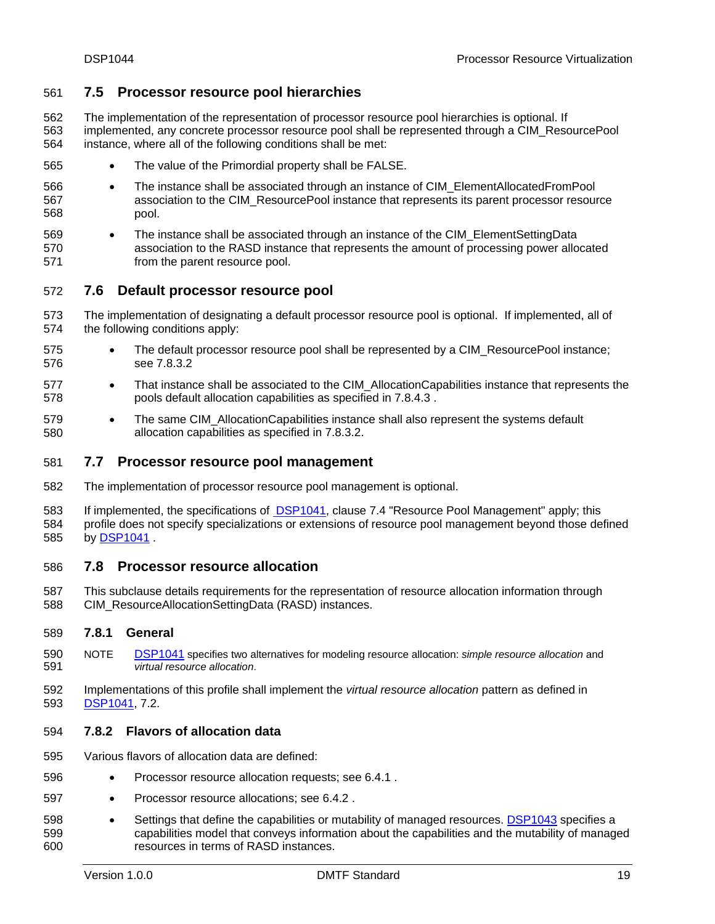### <span id="page-18-3"></span><span id="page-18-0"></span>561 **7.5 Processor resource pool hierarchies**

The implementation of the representation of processor resource pool hierarchies is optional. If implemented, any concrete processor resource pool shall be represented through a CIM\_ResourcePool instance, where all of the following conditions shall be met: 562 563 564

- 565 The value of the Primordial property shall be FALSE.
- 566 567 568 • The instance shall be associated through an instance of CIM\_ElementAllocatedFromPool association to the CIM\_ResourcePool instance that represents its parent processor resource pool.
- 569 570 571 • The instance shall be associated through an instance of the CIM\_ElementSettingData association to the RASD instance that represents the amount of processing power allocated from the parent resource pool.

#### 572 **7.6 Default processor resource pool**

- 573 574 The implementation of designating a default processor resource pool is optional. If implemented, all of the following conditions apply:
- 575 576 • The default processor resource pool shall be represented by a CIM\_ResourcePool instance; see [7.8.3.2](#page-19-1)
- 577 578 That instance shall be associated to the CIM\_AllocationCapabilities instance that represents the pools default allocation capabilities as specified in [7.8.4.3](#page-22-1) .
- 579 580 • The same CIM AllocationCapabilities instance shall also represent the systems default allocation capabilities as specified in [7.8.3.2](#page-19-1).

#### <span id="page-18-2"></span>581 **7.7 Processor resource pool management**

- 582 The implementation of processor resource pool management is optional.
- If implemented, the specifications of [DSP1041](#page-6-0), clause 7.4 "Resource Pool Management" apply; this profile does not specify specializations or extensions of resource pool management beyond those defined 585 by <u>[DSP1041](#page-6-0)</u> . 583 584

#### <span id="page-18-1"></span>586 **7.8 Processor resource allocation**

587 588 This subclause details requirements for the representation of resource allocation information through CIM\_ResourceAllocationSettingData (RASD) instances.

#### 589 **7.8.1 General**

- NOTE [DSP1041](#page-6-0) specifies two alternatives for modeling resource allocation: *simple resource allocation* and *virtual resource allocation*. 590 591
- 592 Implementations of this profile shall implement the *virtual resource allocation* pattern as defined in 593 [DSP1041,](#page-6-0) 7.2.

#### 594 **7.8.2 Flavors of allocation data**

- 595 Various flavors of allocation data are defined:
- 596 • Processor resource allocation requests; see [6.4.1](#page-13-1) .
- 597 • Processor resource allocations: see 6.4.2.
- Settings that define the capabilities or mutability of managed resources. [DSP1043](#page-0-0) specifies a capabilities model that conveys information about the capabilities and the mutability of managed resources in terms of RASD instances. 598 599 600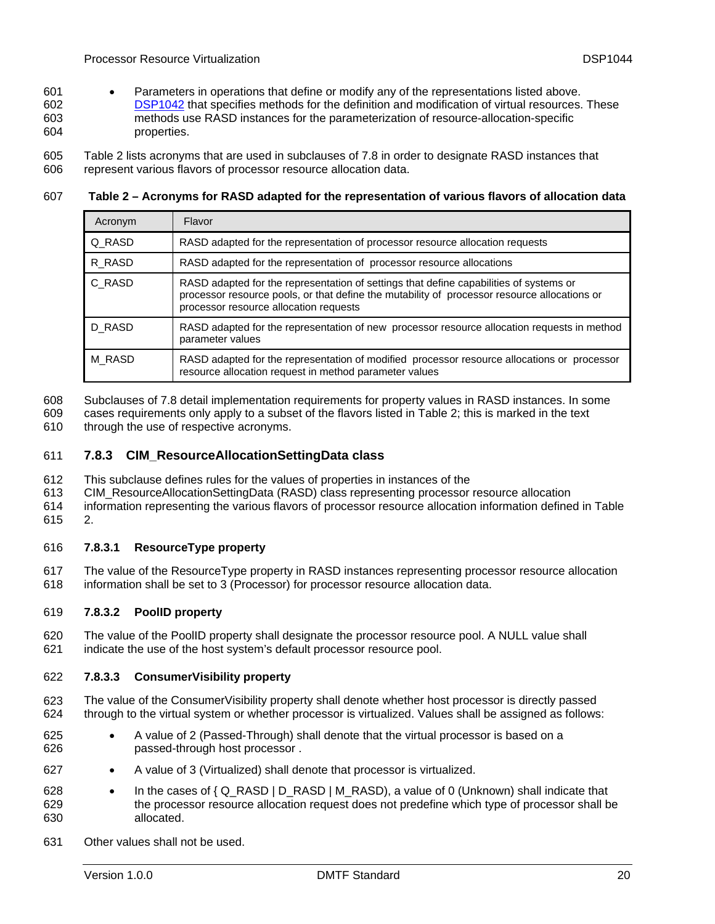- <span id="page-19-0"></span>601 • Parameters in operations that define or modify any of the representations listed above.
- [DSP1042](#page-6-0) that specifies methods for the definition and modification of virtual resources. These methods use RASD instances for the parameterization of resource-allocation-specific properties. 602 603 604
- 605 606 [Table 2](#page-19-2) lists acronyms that are used in subclauses of [7.8](#page-18-1) in order to designate RASD instances that represent various flavors of processor resource allocation data.

#### <span id="page-19-2"></span>607 **Table 2 – Acronyms for RASD adapted for the representation of various flavors of allocation data**

| Acronym | Flavor                                                                                                                                                                                                                           |
|---------|----------------------------------------------------------------------------------------------------------------------------------------------------------------------------------------------------------------------------------|
| Q RASD  | RASD adapted for the representation of processor resource allocation requests                                                                                                                                                    |
| R RASD  | RASD adapted for the representation of processor resource allocations                                                                                                                                                            |
| C_RASD  | RASD adapted for the representation of settings that define capabilities of systems or<br>processor resource pools, or that define the mutability of processor resource allocations or<br>processor resource allocation requests |
| D RASD  | RASD adapted for the representation of new processor resource allocation requests in method<br>parameter values                                                                                                                  |
| M RASD  | RASD adapted for the representation of modified processor resource allocations or processor<br>resource allocation request in method parameter values                                                                            |

Subclauses of [7.8](#page-18-1) detail implementation requirements for property values in RASD instances. In some 608

cases requirements only apply to a subset of the flavors listed in [Table 2;](#page-19-2) this is marked in the text 609 610 through the use of respective acronyms.

#### <span id="page-19-3"></span>611 **7.8.3 CIM\_ResourceAllocationSettingData class**

- 612 This subclause defines rules for the values of properties in instances of the
- 613 CIM\_ResourceAllocationSettingData (RASD) class representing processor resource allocation
- 614 615 information representing the various flavors of processor resource allocation information defined in [Table](#page-19-2)  [2.](#page-19-2)

#### 616 **7.8.3.1 ResourceType property**

617 618 The value of the ResourceType property in RASD instances representing processor resource allocation information shall be set to 3 (Processor) for processor resource allocation data.

#### <span id="page-19-1"></span>619 **7.8.3.2 PoolID property**

620 621 The value of the PoolID property shall designate the processor resource pool. A NULL value shall indicate the use of the host system's default processor resource pool.

#### <span id="page-19-4"></span>622 **7.8.3.3 ConsumerVisibility property**

- 623 624 The value of the ConsumerVisibility property shall denote whether host processor is directly passed through to the virtual system or whether processor is virtualized. Values shall be assigned as follows:
- 625 626 • A value of 2 (Passed-Through) shall denote that the virtual processor is based on a passed-through host processor .
- 627 • A value of 3 (Virtualized) shall denote that processor is virtualized.
- 628 629 630 In the cases of  ${Q_RASD | D_RASD | M_RASD}$ , a value of 0 (Unknown) shall indicate that the processor resource allocation request does not predefine which type of processor shall be allocated.
- 631 Other values shall not be used.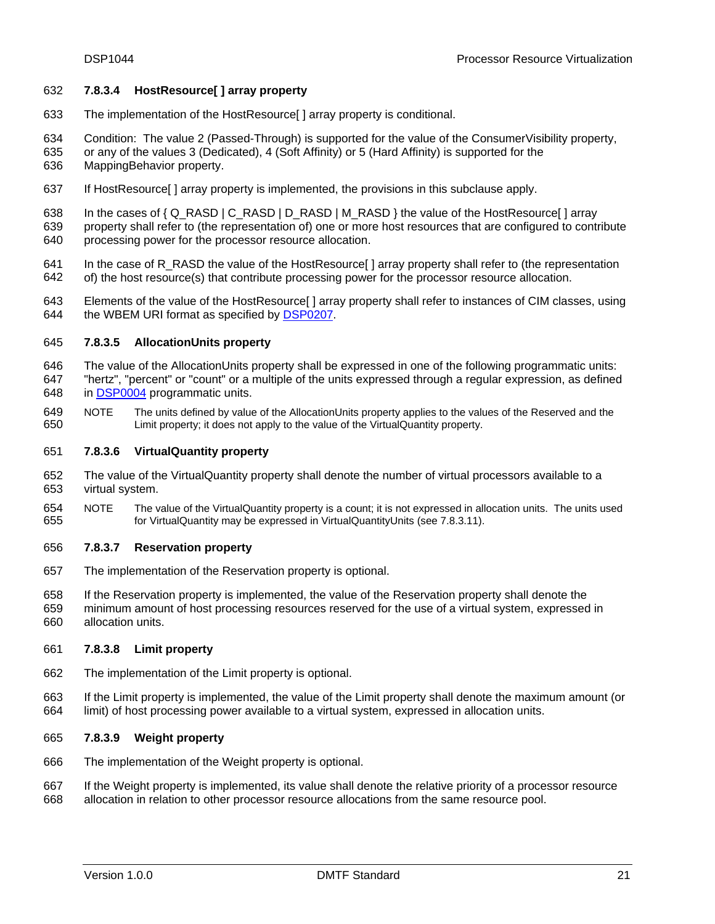#### <span id="page-20-0"></span>632 **7.8.3.4 HostResource[ ] array property**

- 633 The implementation of the HostResource[ ] array property is conditional.
- 634 Condition: The value 2 (Passed-Through) is supported for the value of the ConsumerVisibility property,
- 635 or any of the values 3 (Dedicated), 4 (Soft Affinity) or 5 (Hard Affinity) is supported for the
- 636 MappingBehavior property.
- 637 If HostResource[ ] array property is implemented, the provisions in this subclause apply.
- 638 639 640 In the cases of { Q\_RASD | C\_RASD | D\_RASD | M\_RASD } the value of the HostResource[ ] array property shall refer to (the representation of) one or more host resources that are configured to contribute processing power for the processor resource allocation.
- 641 642 In the case of R\_RASD the value of the HostResource[] array property shall refer to (the representation of) the host resource(s) that contribute processing power for the processor resource allocation.
- 643 Elements of the value of the HostResource[ ] array property shall refer to instances of CIM classes, using 644 the WBEM URI format as specified by [DSP0207](#page-0-0).

#### <span id="page-20-1"></span>645 **7.8.3.5 AllocationUnits property**

- 646 647 The value of the AllocationUnits property shall be expressed in one of the following programmatic units: "hertz", "percent" or "count" or a multiple of the units expressed through a regular expression, as defined 648 in [DSP0004](#page-6-0) programmatic units.
- 649 650 NOTE The units defined by value of the AllocationUnits property applies to the values of the Reserved and the Limit property; it does not apply to the value of the VirtualQuantity property.

#### <span id="page-20-2"></span>651 **7.8.3.6 VirtualQuantity property**

- 652 653 The value of the VirtualQuantity property shall denote the number of virtual processors available to a virtual system.
- 654 655 NOTE The value of the VirtualQuantity property is a count; it is not expressed in allocation units. The units used for VirtualQuantity may be expressed in VirtualQuantityUnits (see [7.8.3.11\)](#page-21-0).

#### <span id="page-20-3"></span>656 **7.8.3.7 Reservation property**

- 657 The implementation of the Reservation property is optional.
- 658 If the Reservation property is implemented, the value of the Reservation property shall denote the
- 659 660 minimum amount of host processing resources reserved for the use of a virtual system, expressed in allocation units.

#### <span id="page-20-4"></span>661 **7.8.3.8 Limit property**

- 662 The implementation of the Limit property is optional.
- 663 664 If the Limit property is implemented, the value of the Limit property shall denote the maximum amount (or limit) of host processing power available to a virtual system, expressed in allocation units.

#### <span id="page-20-5"></span>665 **7.8.3.9 Weight property**

- 666 The implementation of the Weight property is optional.
- 667 668 If the Weight property is implemented, its value shall denote the relative priority of a processor resource allocation in relation to other processor resource allocations from the same resource pool.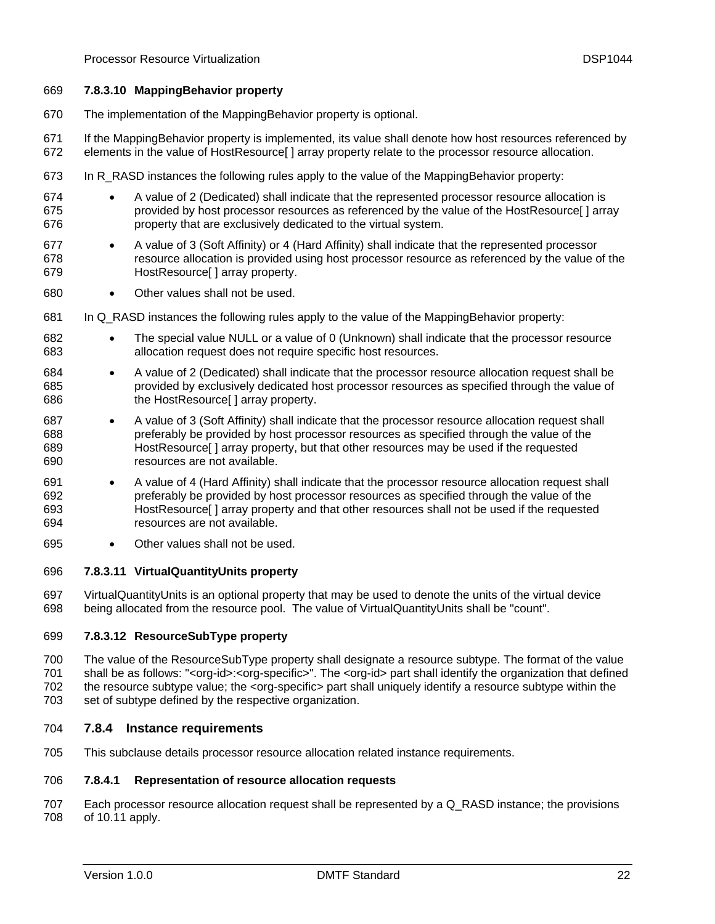#### <span id="page-21-3"></span>669 **7.8.3.10 MappingBehavior property**

- 670 The implementation of the MappingBehavior property is optional.
- 671 672 If the MappingBehavior property is implemented, its value shall denote how host resources referenced by elements in the value of HostResource[ ] array property relate to the processor resource allocation.
- 673 In R\_RASD instances the following rules apply to the value of the MappingBehavior property:
- 674 675 676 • A value of 2 (Dedicated) shall indicate that the represented processor resource allocation is provided by host processor resources as referenced by the value of the HostResource[ ] array property that are exclusively dedicated to the virtual system.
- 677 678 679 • A value of 3 (Soft Affinity) or 4 (Hard Affinity) shall indicate that the represented processor resource allocation is provided using host processor resource as referenced by the value of the HostResource[ ] array property.
- 680 • Other values shall not be used.
- 681 In Q RASD instances the following rules apply to the value of the MappingBehavior property:
- 682 683 • The special value NULL or a value of 0 (Unknown) shall indicate that the processor resource allocation request does not require specific host resources.
- 684 685 686 • A value of 2 (Dedicated) shall indicate that the processor resource allocation request shall be provided by exclusively dedicated host processor resources as specified through the value of the HostResource[ ] array property.
- 687 688 689 690 • A value of 3 (Soft Affinity) shall indicate that the processor resource allocation request shall preferably be provided by host processor resources as specified through the value of the HostResource[ ] array property, but that other resources may be used if the requested resources are not available.
- 691 692 693 694 • A value of 4 (Hard Affinity) shall indicate that the processor resource allocation request shall preferably be provided by host processor resources as specified through the value of the HostResource[ ] array property and that other resources shall not be used if the requested resources are not available.
- 695 Other values shall not be used.

#### <span id="page-21-0"></span>696 **7.8.3.11 VirtualQuantityUnits property**

697 698 VirtualQuantityUnits is an optional property that may be used to denote the units of the virtual device being allocated from the resource pool. The value of VirtualQuantityUnits shall be "count".

#### <span id="page-21-2"></span>699 **7.8.3.12 ResourceSubType property**

700 701 702 703 The value of the ResourceSubType property shall designate a resource subtype. The format of the value shall be as follows: "<org-id>:<org-specific>". The <org-id> part shall identify the organization that defined the resource subtype value; the <org-specific> part shall uniquely identify a resource subtype within the set of subtype defined by the respective organization.

#### 704 **7.8.4 Instance requirements**

705 This subclause details processor resource allocation related instance requirements.

#### <span id="page-21-1"></span>706 **7.8.4.1 Representation of resource allocation requests**

707 708 Each processor resource allocation request shall be represented by a Q\_RASD instance; the provisions of [10.11](#page-38-1) apply.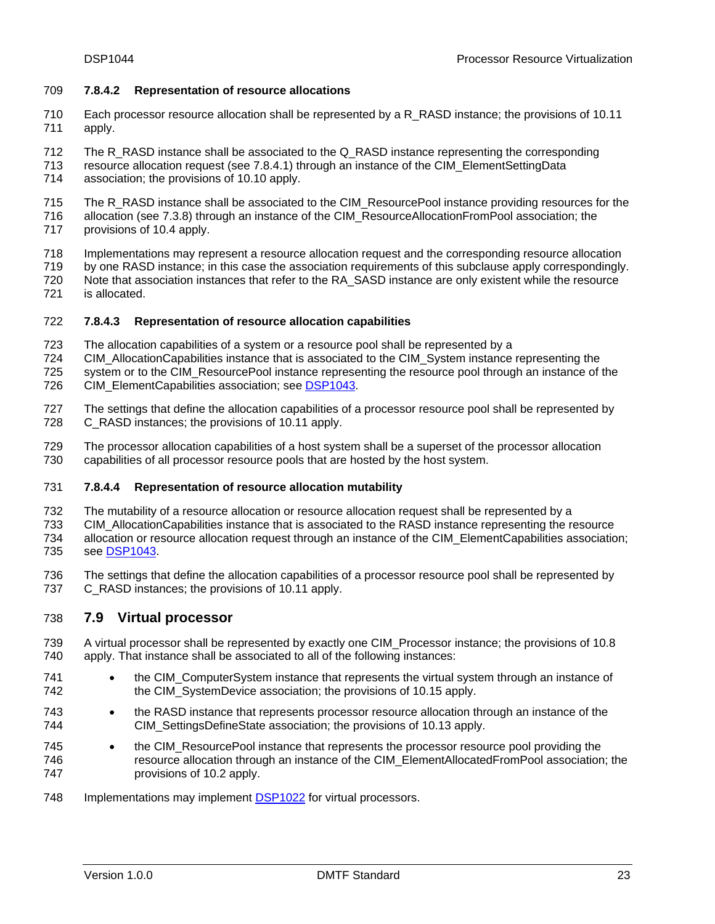#### <span id="page-22-0"></span>709 **7.8.4.2 Representation of resource allocations**

- Each processor resource allocation shall be represented by a R\_RASD instance; the provisions of [10.11](#page-38-1) apply. 710 711
- 712 The R\_RASD instance shall be associated to the Q\_RASD instance representing the corresponding
- 713 resource allocation request (see [7.8.4.1\)](#page-21-1) through an instance of the CIM\_ElementSettingData
- 714 association; the provisions of [10.10](#page-38-2) apply.
- 715 716 The R\_RASD instance shall be associated to the CIM\_ResourcePool instance providing resources for the allocation (see [7.3.8](#page-17-3)) through an instance of the CIM\_ResourceAllocationFromPool association; the
- 717 provisions of [10.4](#page-36-1) apply.
- 718 Implementations may represent a resource allocation request and the corresponding resource allocation
- 719 by one RASD instance; in this case the association requirements of this subclause apply correspondingly.
- 720 721 Note that association instances that refer to the RA\_SASD instance are only existent while the resource is allocated.
- <span id="page-22-1"></span>722 **7.8.4.3 Representation of resource allocation capabilities**
- 723 The allocation capabilities of a system or a resource pool shall be represented by a
- 724 CIM\_AllocationCapabilities instance that is associated to the CIM\_System instance representing the
- 725 system or to the CIM\_ResourcePool instance representing the resource pool through an instance of the
- 726 CIM ElementCapabilities association; see [DSP1043](#page-6-0).
- 727 728 The settings that define the allocation capabilities of a processor resource pool shall be represented by C\_RASD instances; the provisions of [10.11](#page-38-1) apply.
- 729 730 The processor allocation capabilities of a host system shall be a superset of the processor allocation capabilities of all processor resource pools that are hosted by the host system.

#### 731 **7.8.4.4 Representation of resource allocation mutability**

- 732 The mutability of a resource allocation or resource allocation request shall be represented by a
- 733 CIM\_AllocationCapabilities instance that is associated to the RASD instance representing the resource
- 734 allocation or resource allocation request through an instance of the CIM\_ElementCapabilities association; 735 see [DSP1043.](#page-6-0)
- 736 737 The settings that define the allocation capabilities of a processor resource pool shall be represented by C\_RASD instances; the provisions of [10.11](#page-38-1) apply.

#### <span id="page-22-2"></span>738 **7.9 Virtual processor**

- 739 740 A virtual processor shall be represented by exactly one CIM\_Processor instance; the provisions of [10.8](#page-37-1) apply. That instance shall be associated to all of the following instances:
- 741 742 • the CIM\_ComputerSystem instance that represents the virtual system through an instance of the CIM\_SystemDevice association; the provisions of [10.15](#page-41-1) apply.
- 743 744 • the RASD instance that represents processor resource allocation through an instance of the CIM\_SettingsDefineState association; the provisions of [10.13](#page-40-1) apply.
- 745 746 747 • the CIM ResourcePool instance that represents the processor resource pool providing the resource allocation through an instance of the CIM\_ElementAllocatedFromPool association; the provisions of [10.2](#page-35-1) apply.
- 748 Implementations may implement [DSP1022](#page-6-0) for virtual processors.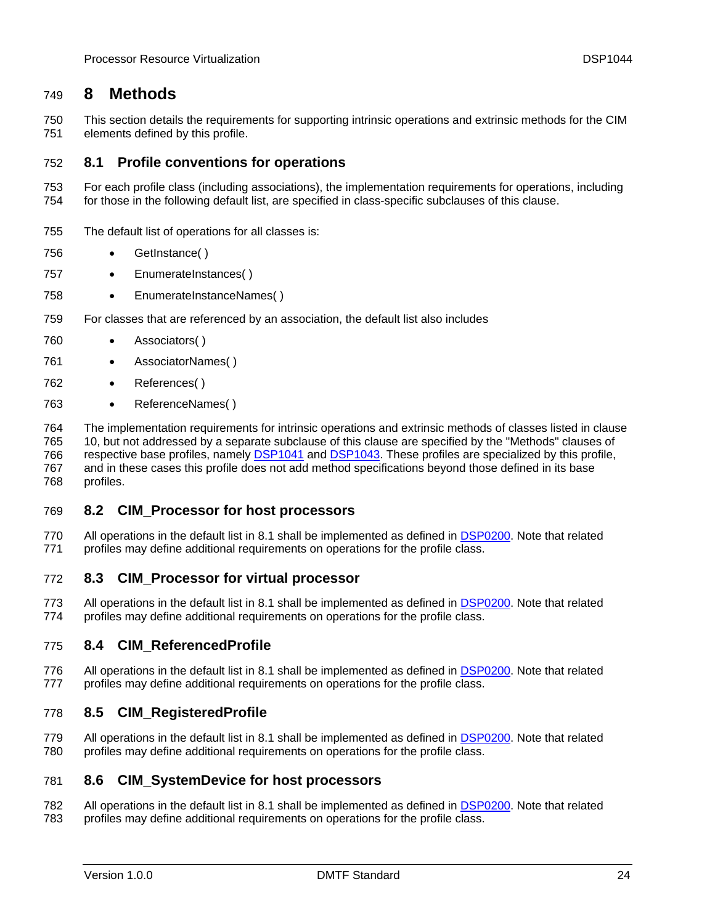### <span id="page-23-2"></span><span id="page-23-0"></span>749 **8 Methods**

This section details the requirements for supporting intrinsic operations and extrinsic methods for the CIM elements defined by this profile. 750 751

#### <span id="page-23-1"></span>752 **8.1 Profile conventions for operations**

- 753 754 For each profile class (including associations), the implementation requirements for operations, including for those in the following default list, are specified in class-specific subclauses of this clause.
- 755 The default list of operations for all classes is:
- 756 • GetInstance( )
- 757 • EnumerateInstances()
- 758 • EnumerateInstanceNames()
- 759 For classes that are referenced by an association, the default list also includes
- 760 • Associators( )
- 761 • AssociatorNames( )
- 762 • References( )
- 763 • ReferenceNames( )

764 765 The implementation requirements for intrinsic operations and extrinsic methods of classes listed in clause [10](#page-33-1), but not addressed by a separate subclause of this clause are specified by the "Methods" clauses of respective base profiles, namely [DSP1041](#page-6-0) and [DSP1043](#page-6-0). These profiles are specialized by this profile, and in these cases this profile does not add method specifications beyond those defined in its base profiles. 766 767 768

#### 769 **8.2 CIM\_Processor for host processors**

All operations in the default list in [8.1](#page-23-1) shall be implemented as defined in [DSP0200](#page-6-0). Note that related profiles may define additional requirements on operations for the profile class. 770 771

#### 772 **8.3 CIM\_Processor for virtual processor**

All operations in the default list in [8.1](#page-23-1) shall be implemented as defined in [DSP0200](#page-6-0). Note that related profiles may define additional requirements on operations for the profile class. 773 774

#### 775 **8.4 CIM\_ReferencedProfile**

All operations in the default list in [8.1](#page-23-1) shall be implemented as defined in [DSP0200](#page-6-0). Note that related profiles may define additional requirements on operations for the profile class. 776 777

#### 778 **8.5 CIM\_RegisteredProfile**

All operations in the default list in [8.1](#page-23-1) shall be implemented as defined in [DSP0200](#page-6-0). Note that related profiles may define additional requirements on operations for the profile class. 779 780

#### 781 **8.6 CIM\_SystemDevice for host processors**

All operations in the default list in [8.1](#page-23-1) shall be implemented as defined in [DSP0200](#page-6-0). Note that related profiles may define additional requirements on operations for the profile class. 782 783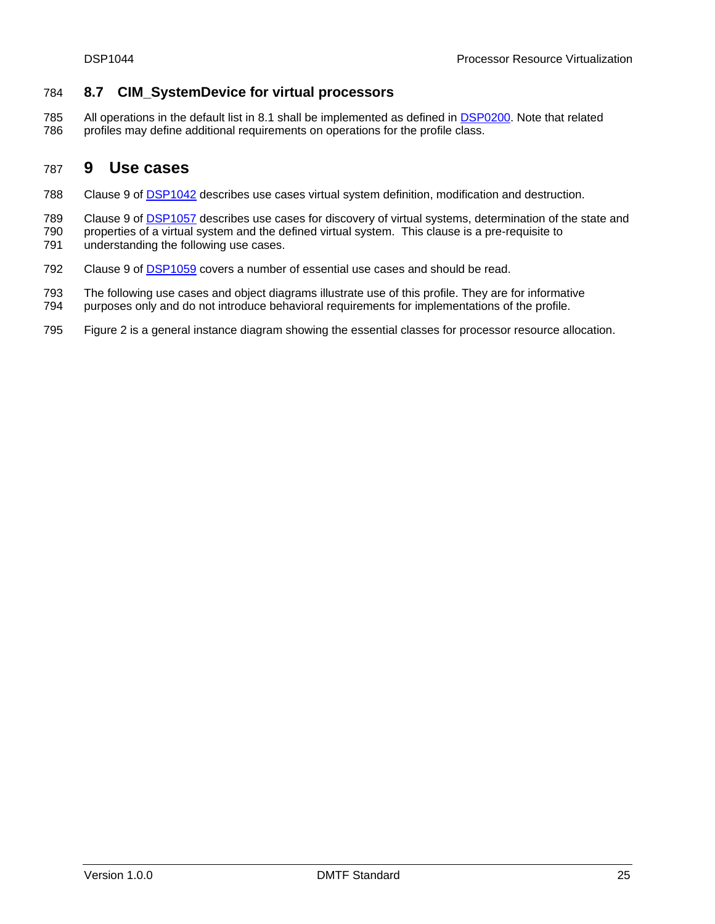### <span id="page-24-0"></span>784 **8.7 CIM\_SystemDevice for virtual processors**

All operations in the default list in [8.1](#page-23-1) shall be implemented as defined in [DSP0200](#page-6-0). Note that related profiles may define additional requirements on operations for the profile class. 785 786

## 787 **9 Use cases**

- 788 Clause 9 of [DSP1042](#page-6-0) describes use cases virtual system definition, modification and destruction.
- Clause 9 of [DSP1057](#page-6-0) describes use cases for discovery of virtual systems, determination of the state and 789
- properties of a virtual system and the defined virtual system. This clause is a pre-requisite to understanding the following use cases. 790 791
- 792 Clause 9 of **DSP1059** covers a number of essential use cases and should be read.
- 793 794 The following use cases and object diagrams illustrate use of this profile. They are for informative purposes only and do not introduce behavioral requirements for implementations of the profile.
- 795 [Figure 2](#page-25-1) is a general instance diagram showing the essential classes for processor resource allocation.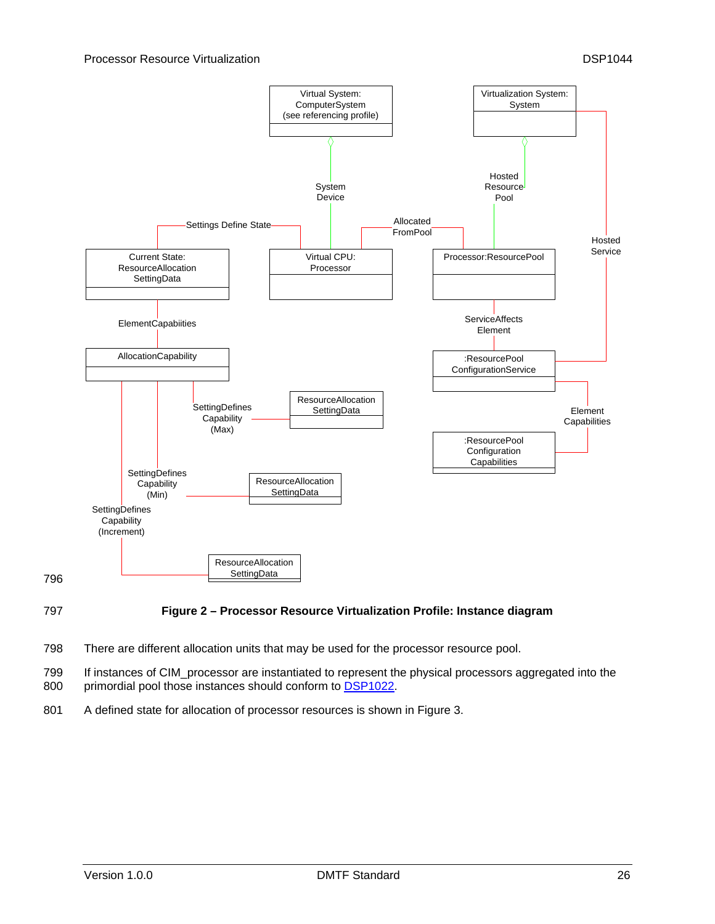<span id="page-25-0"></span>

#### <span id="page-25-1"></span>797 **Figure 2 – Processor Resource Virtualization Profile: Instance diagram**

- 798 There are different allocation units that may be used for the processor resource pool.
- 799 If instances of CIM\_processor are instantiated to represent the physical processors aggregated into the primordial pool those instances should conform to [DSP1022.](#page-6-0) 800
- 801 A defined state for allocation of processor resources is shown in Figure 3.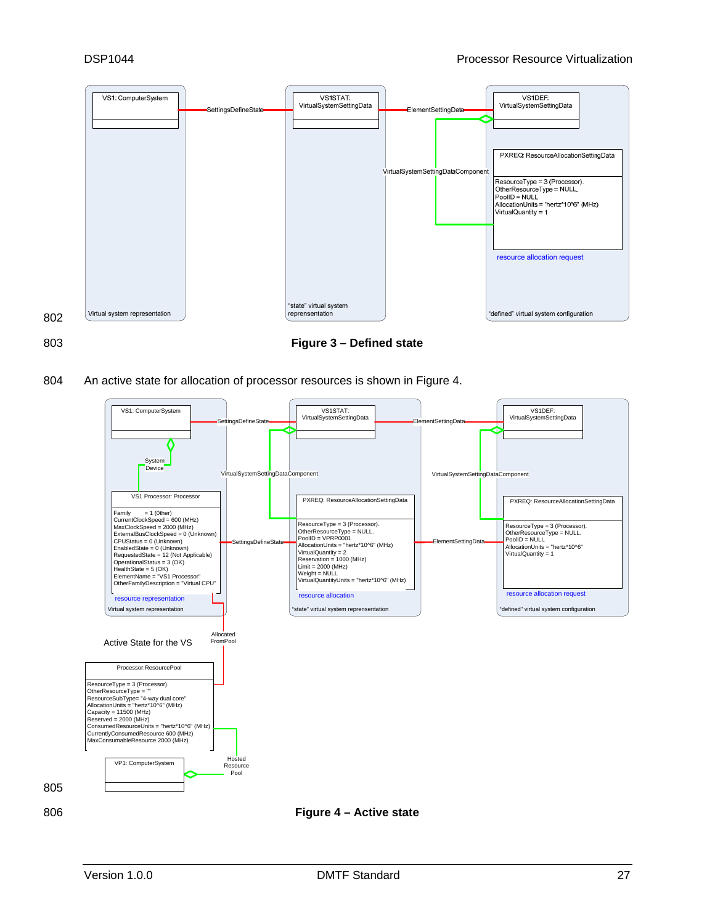<span id="page-26-0"></span>

803

802

**Figure 3 – Defined state** 

#### 804 An active state for allocation of processor resources is shown in [Figure 4](#page-26-1).

<span id="page-26-1"></span>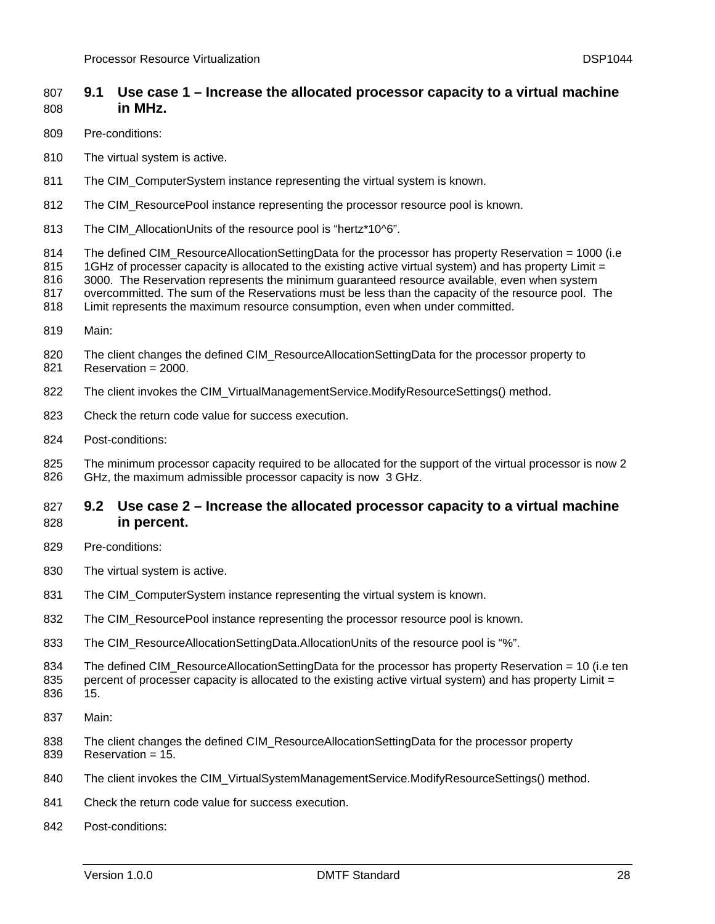#### <span id="page-27-0"></span>807 **9.1 Use case 1 – Increase the allocated processor capacity to a virtual machine**  808 **in MHz.**

- 809 Pre-conditions:
- 810 The virtual system is active.
- 811 The CIM\_ComputerSystem instance representing the virtual system is known.
- 812 The CIM\_ResourcePool instance representing the processor resource pool is known.
- 813 The CIM\_AllocationUnits of the resource pool is "hertz\*10^6".
- 814 The defined CIM\_ResourceAllocationSettingData for the processor has property Reservation = 1000 (i.e
- 815 1GHz of processer capacity is allocated to the existing active virtual system) and has property Limit =
- 816 3000. The Reservation represents the minimum guaranteed resource available, even when system
- 817 overcommitted. The sum of the Reservations must be less than the capacity of the resource pool. The
- 818 Limit represents the maximum resource consumption, even when under committed.
- 819 Main:
- 820 821 The client changes the defined CIM\_ResourceAllocationSettingData for the processor property to Reservation = 2000.
- 822 The client invokes the CIM\_VirtualManagementService.ModifyResourceSettings() method.
- 823 Check the return code value for success execution.
- 824 Post-conditions:
- 825 826 The minimum processor capacity required to be allocated for the support of the virtual processor is now 2 GHz, the maximum admissible processor capacity is now 3 GHz.

#### 828 827 **9.2 Use case 2 – Increase the allocated processor capacity to a virtual machine in percent.**

- 829 Pre-conditions:
- 830 The virtual system is active.
- 831 The CIM\_ComputerSystem instance representing the virtual system is known.
- 832 The CIM\_ResourcePool instance representing the processor resource pool is known.
- 833 The CIM\_ResourceAllocationSettingData.AllocationUnits of the resource pool is "%".
- 834 835 836 The defined CIM\_ResourceAllocationSettingData for the processor has property Reservation = 10 (i.e ten percent of processer capacity is allocated to the existing active virtual system) and has property Limit = 15.
- 837 Main:
- 838 839 The client changes the defined CIM\_ResourceAllocationSettingData for the processor property Reservation  $= 15$ .
- 840 The client invokes the CIM\_VirtualSystemManagementService.ModifyResourceSettings() method.
- 841 Check the return code value for success execution.
- 842 Post-conditions: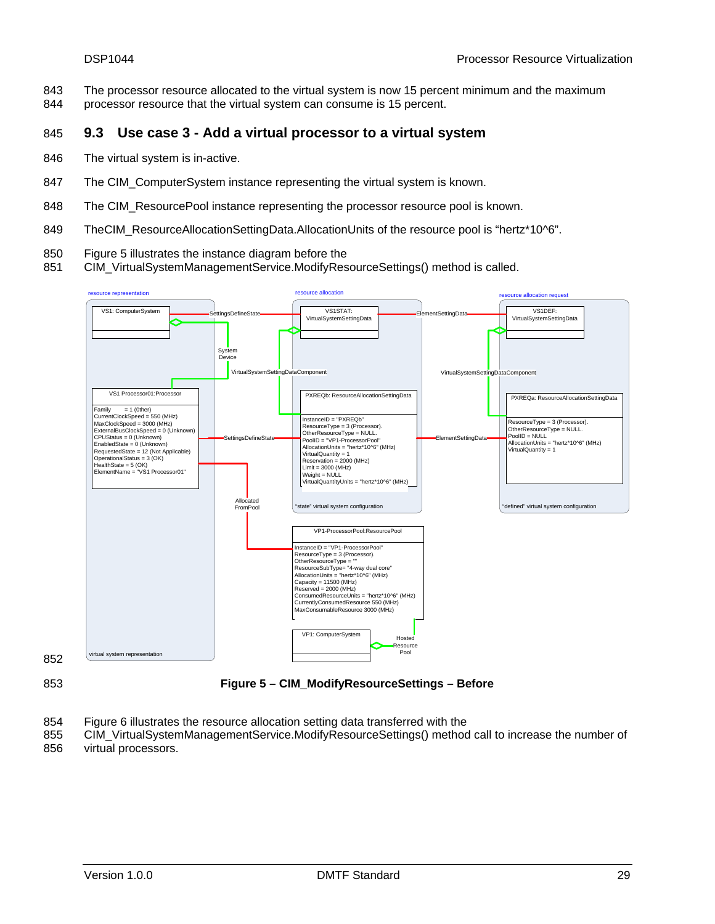- <span id="page-28-0"></span>843 The processor resource allocated to the virtual system is now 15 percent minimum and the maximum
- 844 processor resource that the virtual system can consume is 15 percent.

## 845 **9.3 Use case 3 - Add a virtual processor to a virtual system**

- 846 The virtual system is in-active.
- 847 The CIM\_ComputerSystem instance representing the virtual system is known.
- 848 The CIM\_ResourcePool instance representing the processor resource pool is known.
- 849 TheCIM\_ResourceAllocationSettingData.AllocationUnits of the resource pool is "hertz\*10^6".
- 850 [Figure 5](#page-28-1) illustrates the instance diagram before the
- 851 CIM\_VirtualSystemManagementService.ModifyResourceSettings() method is called.



<span id="page-28-1"></span>852 853

**Figure 5 – CIM\_ModifyResourceSettings – Before** 

- 854 [Figure 6](#page-29-1) illustrates the resource allocation setting data transferred with the
- 855 CIM\_VirtualSystemManagementService.ModifyResourceSettings() method call to increase the number of
- 856 virtual processors.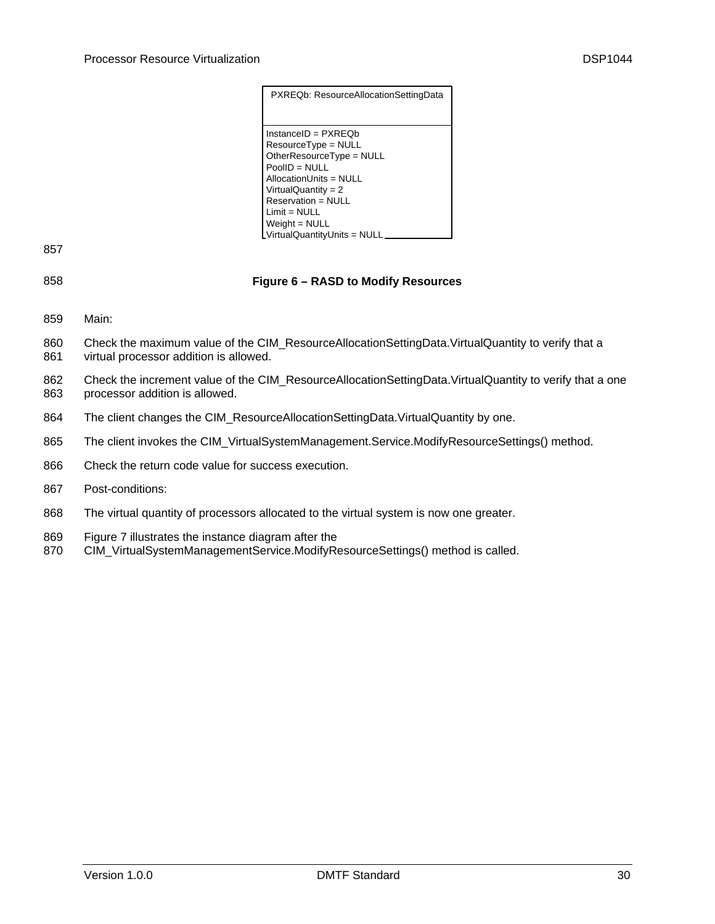| PXREQb: ResourceAllocationSettingData                                 |
|-----------------------------------------------------------------------|
| $InstanceID = PXREQb$<br>ResourceType = NULL                          |
| OtherResourceType = NULL<br>$PoolID = NULL$<br>AllocationUnits = NULL |
| VirtualQuantity = $2$<br>Reservation = NULL                           |
| $Limit = NULL$<br>Weight = NULL                                       |
| VirtualQuantityUnits = NULL                                           |

<span id="page-29-0"></span>857

<span id="page-29-1"></span>858

#### **Figure 6 – RASD to Modify Resources**

859 Main:

860 861 Check the maximum value of the CIM\_ResourceAllocationSettingData.VirtualQuantity to verify that a virtual processor addition is allowed.

862 863 Check the increment value of the CIM\_ResourceAllocationSettingData.VirtualQuantity to verify that a one processor addition is allowed.

864 The client changes the CIM\_ResourceAllocationSettingData.VirtualQuantity by one.

865 The client invokes the CIM\_VirtualSystemManagement.Service.ModifyResourceSettings() method.

- 866 Check the return code value for success execution.
- 867 Post-conditions:
- 868 The virtual quantity of processors allocated to the virtual system is now one greater.
- 869 [Figure 7](#page-30-1) illustrates the instance diagram after the
- 870 CIM\_VirtualSystemManagementService.ModifyResourceSettings() method is called.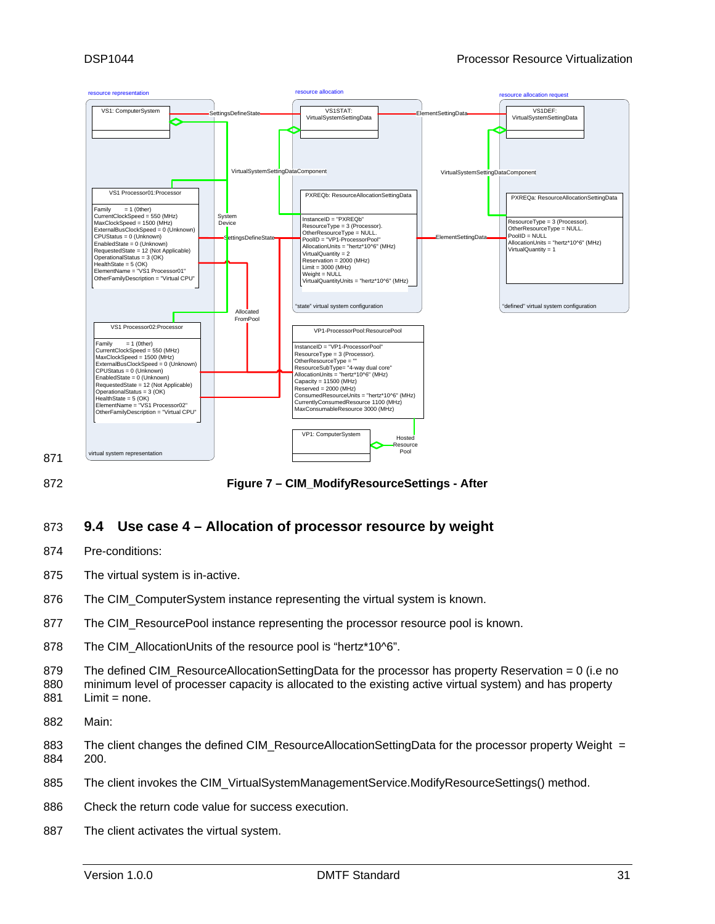<span id="page-30-0"></span>

871

<span id="page-30-1"></span>872

**Figure 7 – CIM\_ModifyResourceSettings - After** 

## 873 **9.4 Use case 4 – Allocation of processor resource by weight**

- 874 Pre-conditions:
- 875 The virtual system is in-active.
- 876 The CIM\_ComputerSystem instance representing the virtual system is known.
- 877 The CIM\_ResourcePool instance representing the processor resource pool is known.
- 878 The CIM AllocationUnits of the resource pool is "hertz\*10^6".

879 880 The defined CIM\_ResourceAllocationSettingData for the processor has property Reservation = 0 (i.e no minimum level of processer capacity is allocated to the existing active virtual system) and has property

- 881  $Limit = none.$
- 882 Main:
- 883 884 The client changes the defined CIM\_ResourceAllocationSettingData for the processor property Weight = 200.
- 885 The client invokes the CIM\_VirtualSystemManagementService.ModifyResourceSettings() method.
- 886 Check the return code value for success execution.
- 887 The client activates the virtual system.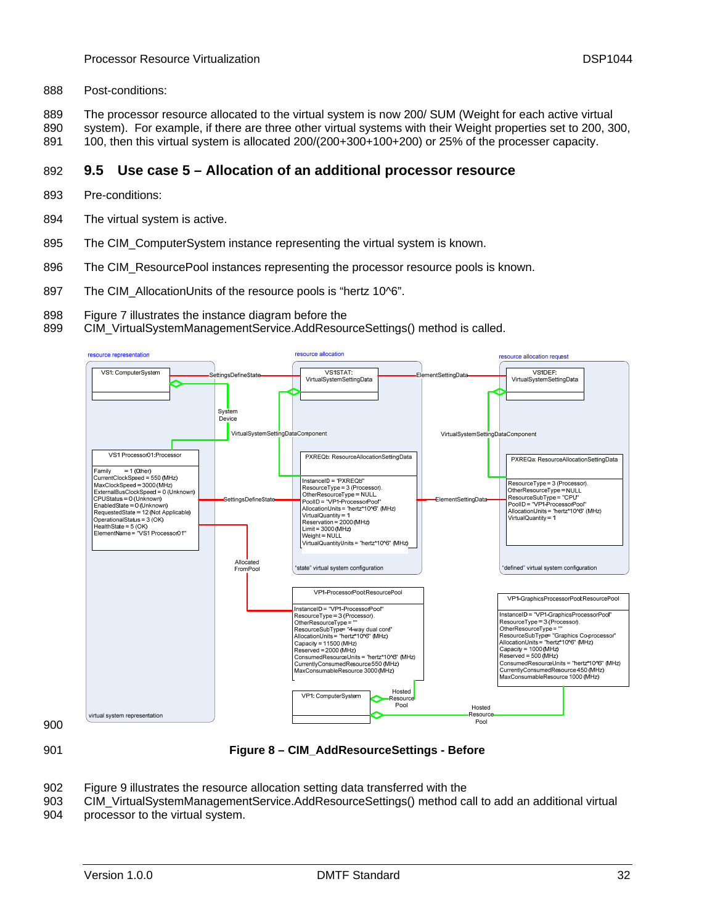- <span id="page-31-0"></span>888 Post-conditions:
- 889 The processor resource allocated to the virtual system is now 200/ SUM (Weight for each active virtual
- 890 system). For example, if there are three other virtual systems with their Weight properties set to 200, 300,
- 891 100, then this virtual system is allocated 200/(200+300+100+200) or 25% of the processer capacity.

#### 892 **9.5 Use case 5 – Allocation of an additional processor resource**

- 893 Pre-conditions:
- 894 The virtual system is active.
- 895 The CIM\_ComputerSystem instance representing the virtual system is known.
- 896 The CIM\_ResourcePool instances representing the processor resource pools is known.
- 897 The CIM\_AllocationUnits of the resource pools is "hertz 10^6".
- 898 [Figure 7](#page-30-1) illustrates the instance diagram before the
- 899 CIM\_VirtualSystemManagementService.AddResourceSettings() method is called.



900

901

**Figure 8 – CIM\_AddResourceSettings - Before** 

- 902 [Figure 9](#page-32-1) illustrates the resource allocation setting data transferred with the
- 903 904 CIM\_VirtualSystemManagementService.AddResourceSettings() method call to add an additional virtual processor to the virtual system.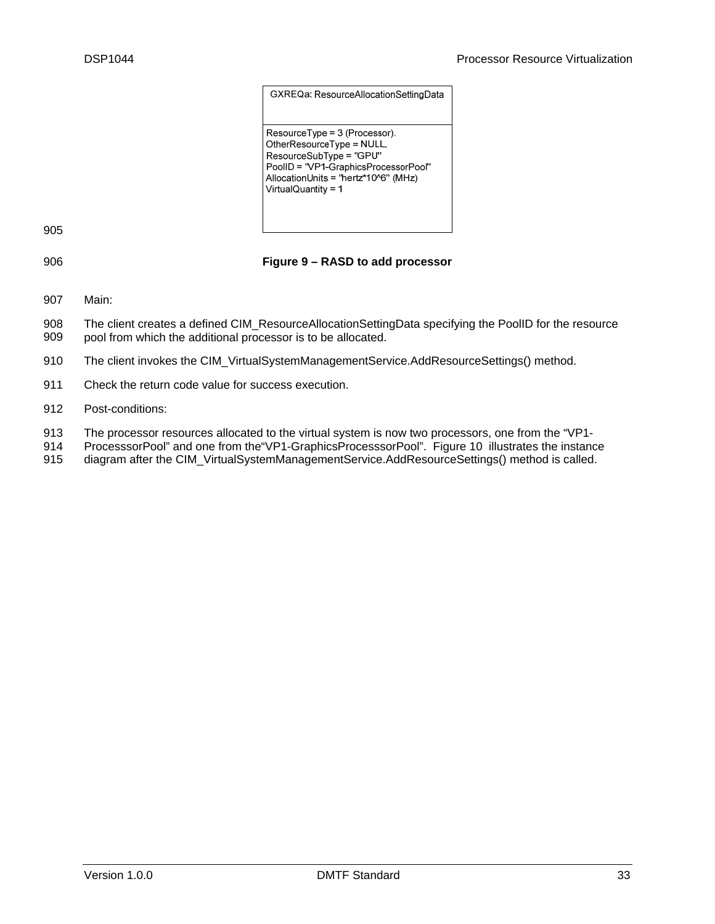GXREQa: ResourceAllocationSettingData ResourceType = 3 (Processor). OtherResourceType = NULL. ResourceSubType = "GPU" PoolID = "VP1-GraphicsProcessorPool" AllocationUnits = "hertz\*10^6" (MHz) VirtualQuantity =  $1$ 

<span id="page-32-0"></span>905

<span id="page-32-1"></span>906

#### **Figure 9 – RASD to add processor**

907 Main:

908 909 The client creates a defined CIM\_ResourceAllocationSettingData specifying the PoolID for the resource pool from which the additional processor is to be allocated.

910 The client invokes the CIM\_VirtualSystemManagementService.AddResourceSettings() method.

911 Check the return code value for success execution.

912 Post-conditions:

- 913 The processor resources allocated to the virtual system is now two processors, one from the "VP1-
- 914 ProcesssorPool" and one from the"VP1-GraphicsProcesssorPool". [Figure 10](#page-33-2) illustrates the instance
- 915 diagram after the CIM\_VirtualSystemManagementService.AddResourceSettings() method is called.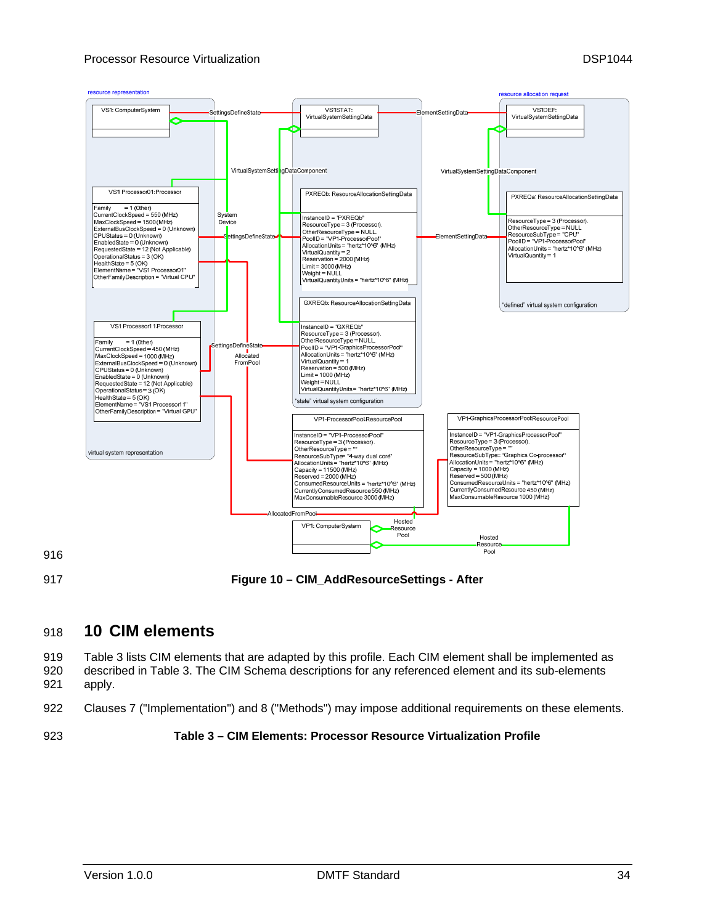#### <span id="page-33-0"></span>Processor Resource Virtualization DSP1044



916

<span id="page-33-2"></span>917

**Figure 10 – CIM\_AddResourceSettings - After** 

## <span id="page-33-1"></span>918 **10 CIM elements**

919 920 921 [Table 3](#page-33-3) lists CIM elements that are adapted by this profile. Each CIM element shall be implemented as described in [Table 3](#page-33-3). The CIM Schema descriptions for any referenced element and its sub-elements apply.

922 Clauses [7](#page-14-1) (["Implementation](#page-14-1)") and [8](#page-23-2) ("[Methods](#page-23-2)") may impose additional requirements on these elements.

<span id="page-33-3"></span>923

#### **Table 3 – CIM Elements: Processor Resource Virtualization Profile**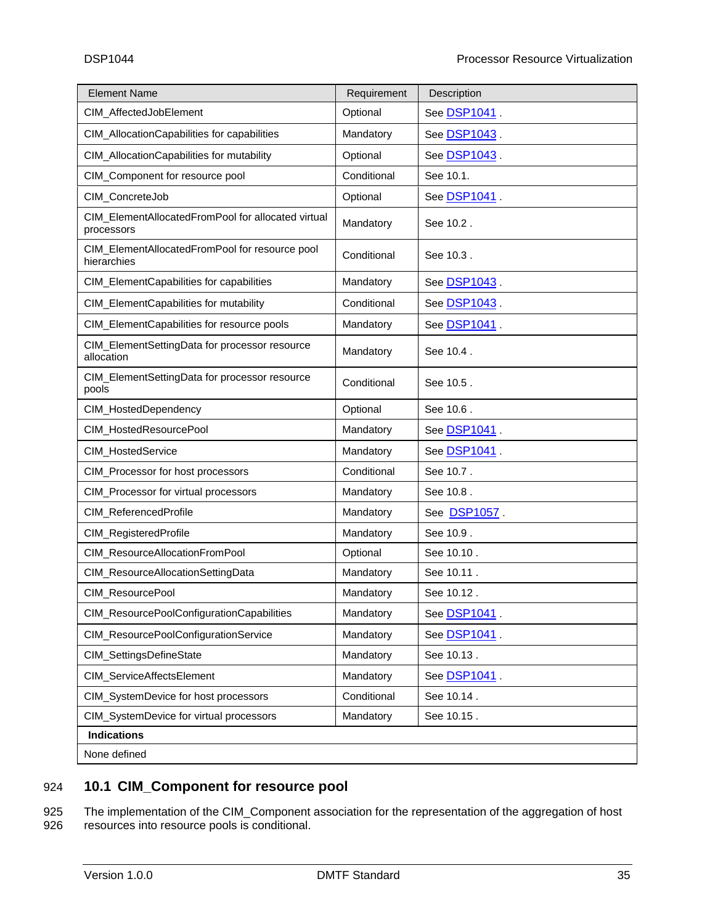<span id="page-34-0"></span>

| <b>Element Name</b>                                              | Requirement | Description  |
|------------------------------------------------------------------|-------------|--------------|
| CIM_AffectedJobElement                                           | Optional    | See DSP1041. |
| CIM_AllocationCapabilities for capabilities                      | Mandatory   | See DSP1043. |
| CIM_AllocationCapabilities for mutability                        | Optional    | See DSP1043. |
| CIM_Component for resource pool                                  | Conditional | See 10.1.    |
| CIM_ConcreteJob                                                  | Optional    | See DSP1041. |
| CIM_ElementAllocatedFromPool for allocated virtual<br>processors | Mandatory   | See 10.2.    |
| CIM_ElementAllocatedFromPool for resource pool<br>hierarchies    | Conditional | See 10.3.    |
| CIM_ElementCapabilities for capabilities                         | Mandatory   | See DSP1043. |
| CIM_ElementCapabilities for mutability                           | Conditional | See DSP1043. |
| CIM_ElementCapabilities for resource pools                       | Mandatory   | See DSP1041. |
| CIM_ElementSettingData for processor resource<br>allocation      | Mandatory   | See 10.4.    |
| CIM_ElementSettingData for processor resource<br>pools           | Conditional | See 10.5.    |
| CIM_HostedDependency                                             | Optional    | See 10.6.    |
| CIM_HostedResourcePool                                           | Mandatory   | See DSP1041. |
| CIM_HostedService                                                | Mandatory   | See DSP1041. |
| CIM_Processor for host processors                                | Conditional | See 10.7.    |
| CIM_Processor for virtual processors                             | Mandatory   | See 10.8.    |
| CIM_ReferencedProfile                                            | Mandatory   | See DSP1057. |
| CIM_RegisteredProfile                                            | Mandatory   | See 10.9.    |
| CIM_ResourceAllocationFromPool                                   | Optional    | See 10.10.   |
| CIM_ResourceAllocationSettingData                                | Mandatory   | See 10.11.   |
| CIM_ResourcePool                                                 | Mandatory   | See 10.12.   |
| CIM_ResourcePoolConfigurationCapabilities                        | Mandatory   | See DSP1041. |
| CIM_ResourcePoolConfigurationService                             | Mandatory   | See DSP1041. |
| CIM_SettingsDefineState                                          | Mandatory   | See 10.13.   |
| CIM_ServiceAffectsElement                                        | Mandatory   | See DSP1041. |
| CIM_SystemDevice for host processors                             | Conditional | See 10.14.   |
| CIM_SystemDevice for virtual processors                          | Mandatory   | See 10.15.   |
| <b>Indications</b>                                               |             |              |
| None defined                                                     |             |              |

## <span id="page-34-1"></span>924 **10.1 CIM\_Component for resource pool**

The implementation of the CIM\_Component association for the representation of the aggregation of host resources into resource pools is conditional. 925 926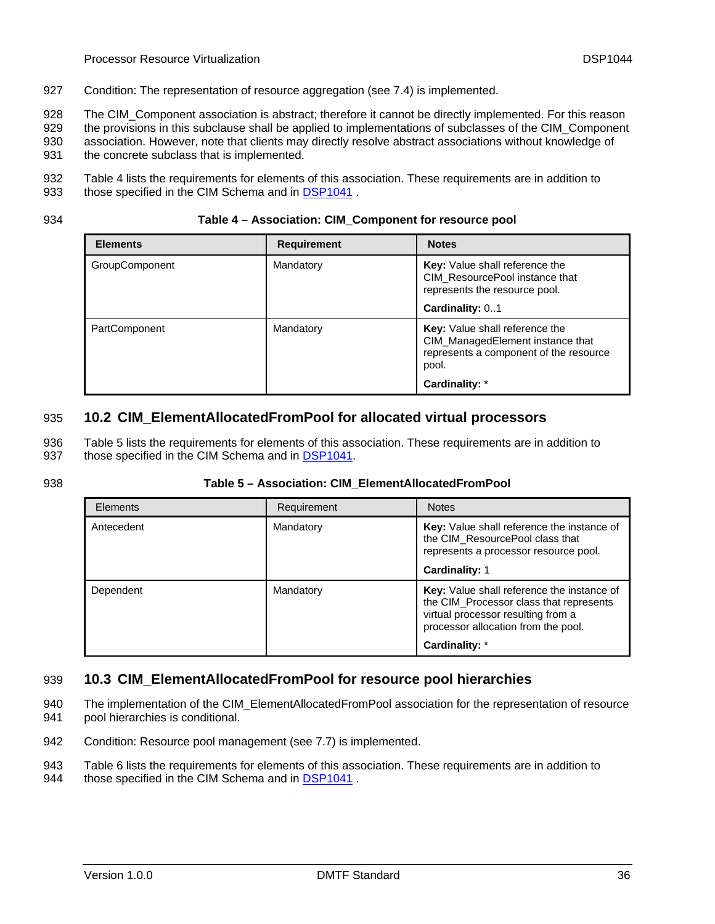<span id="page-35-0"></span>927 Condition: The representation of resource aggregation (see [7.4\)](#page-17-2) is implemented.

928 The CIM\_Component association is abstract; therefore it cannot be directly implemented. For this reason

929 the provisions in this subclause shall be applied to implementations of subclasses of the CIM\_Component

930 association. However, note that clients may directly resolve abstract associations without knowledge of

- 931 the concrete subclass that is implemented.
- 932<br>933 [Table 4](#page-35-4) lists the requirements for elements of this association. These requirements are in addition to those specified in the CIM Schema and in [DSP1041](#page-6-0).
- <span id="page-35-4"></span>

| 934 | Table 4 - Association: CIM_Component for resource pool |
|-----|--------------------------------------------------------|
|     |                                                        |

| <b>Elements</b>       | <b>Requirement</b> | <b>Notes</b>                                                                                                                 |
|-----------------------|--------------------|------------------------------------------------------------------------------------------------------------------------------|
| <b>GroupComponent</b> | Mandatory          | Key: Value shall reference the<br>CIM ResourcePool instance that<br>represents the resource pool.                            |
|                       |                    | Cardinality: 01                                                                                                              |
| PartComponent         | Mandatory          | <b>Key:</b> Value shall reference the<br>CIM_ManagedElement instance that<br>represents a component of the resource<br>pool. |
|                       |                    | Cardinality: *                                                                                                               |

#### <span id="page-35-1"></span>935 **10.2 CIM\_ElementAllocatedFromPool for allocated virtual processors**

- [Table 5](#page-35-5) lists the requirements for elements of this association. These requirements are in addition to 936
- 937 those specified in the CIM Schema and in **[DSP1041](#page-6-0)**.

<span id="page-35-5"></span>

#### 938 **Table 5 – Association: CIM\_ElementAllocatedFromPool**

| Elements   | Requirement | <b>Notes</b>                                                                                                                                                       |
|------------|-------------|--------------------------------------------------------------------------------------------------------------------------------------------------------------------|
| Antecedent | Mandatory   | Key: Value shall reference the instance of<br>the CIM ResourcePool class that<br>represents a processor resource pool.                                             |
|            |             | <b>Cardinality: 1</b>                                                                                                                                              |
| Dependent  | Mandatory   | Key: Value shall reference the instance of<br>the CIM_Processor class that represents<br>virtual processor resulting from a<br>processor allocation from the pool. |
|            |             | Cardinality: *                                                                                                                                                     |

#### <span id="page-35-3"></span>939 **10.3 CIM\_ElementAllocatedFromPool for resource pool hierarchies**

- The implementation of the CIM\_ElementAllocatedFromPool association for the representation of resource pool hierarchies is conditional. 940 941
- 942 Condition: Resource pool management (see [7.7\) is implemented.](#page-18-2)
- 943 [Table 6](#page-36-3) lists the requirements for elements of this association. These requirements are in addition to
- <span id="page-35-2"></span>944 those specified in the CIM Schema and in [DSP1041](#page-6-0).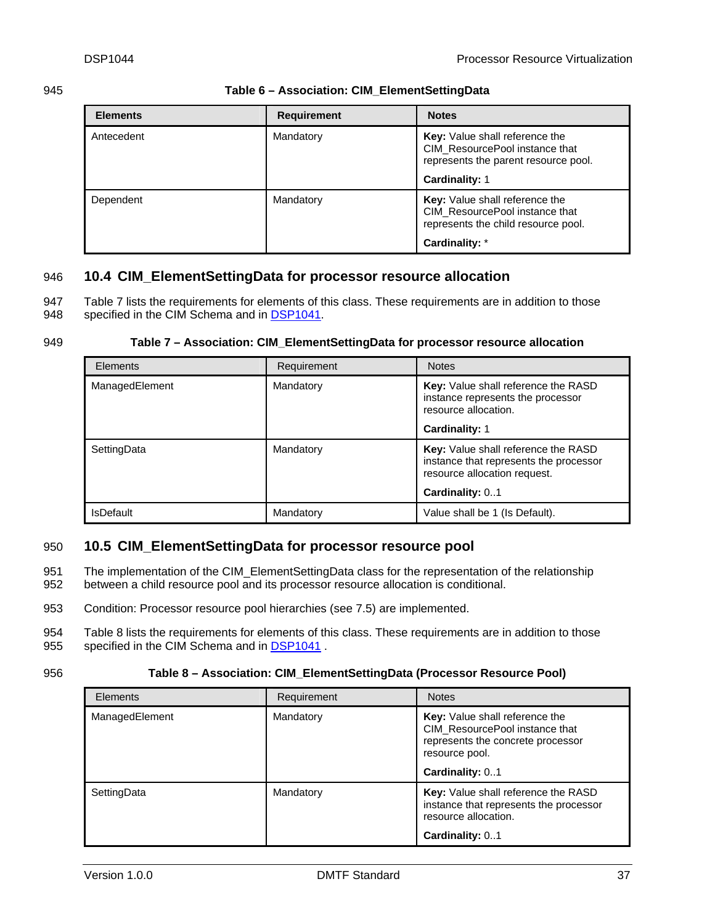<span id="page-36-3"></span><span id="page-36-0"></span>945 **Table 6 – Association: CIM\_ElementSettingData** 

| <b>Elements</b> | <b>Requirement</b> | <b>Notes</b>                                                                                                                      |
|-----------------|--------------------|-----------------------------------------------------------------------------------------------------------------------------------|
| Antecedent      | Mandatory          | Key: Value shall reference the<br>CIM_ResourcePool instance that<br>represents the parent resource pool.<br><b>Cardinality: 1</b> |
| Dependent       | Mandatory          | Key: Value shall reference the<br>CIM ResourcePool instance that<br>represents the child resource pool.<br>Cardinality: *         |

## <span id="page-36-1"></span>946 **10.4 CIM\_ElementSettingData for processor resource allocation**

[Table 7](#page-36-4) lists the requirements for elements of this class. These requirements are in addition to those 947

948 specified in the CIM Schema and in **DSP1041**.

#### <span id="page-36-4"></span>949 **Table 7 – Association: CIM\_ElementSettingData for processor resource allocation**

| Elements         | Requirement | <b>Notes</b>                                                                                                                     |
|------------------|-------------|----------------------------------------------------------------------------------------------------------------------------------|
| ManagedElement   | Mandatory   | Key: Value shall reference the RASD<br>instance represents the processor<br>resource allocation.                                 |
|                  |             | Cardinality: 1                                                                                                                   |
| SettingData      | Mandatory   | Key: Value shall reference the RASD<br>instance that represents the processor<br>resource allocation request.<br>Cardinality: 01 |
| <b>IsDefault</b> | Mandatory   | Value shall be 1 (Is Default).                                                                                                   |

## <span id="page-36-2"></span>950 **10.5 CIM\_ElementSettingData for processor resource pool**

- The implementation of the CIM\_ElementSettingData class for the representation of the relationship between a child resource pool and its processor resource allocation is conditional. 951 952
- 953 Condition: Processor resource pool hierarchies (see [7.5\)](#page-18-3) are implemented.
- 954 [Table 8](#page-36-5) lists the requirements for elements of this class. These requirements are in addition to those 955 specified in the CIM Schema and in [DSP1041](#page-6-0) .
- 

#### <span id="page-36-5"></span>956 **Table 8 – Association: CIM\_ElementSettingData (Processor Resource Pool)**

| Elements       | Requirement | <b>Notes</b>                                                                                                            |
|----------------|-------------|-------------------------------------------------------------------------------------------------------------------------|
| ManagedElement | Mandatory   | Key: Value shall reference the<br>CIM ResourcePool instance that<br>represents the concrete processor<br>resource pool. |
|                |             | Cardinality: 01                                                                                                         |
| SettingData    | Mandatory   | Key: Value shall reference the RASD<br>instance that represents the processor<br>resource allocation.                   |
|                |             | Cardinality: 01                                                                                                         |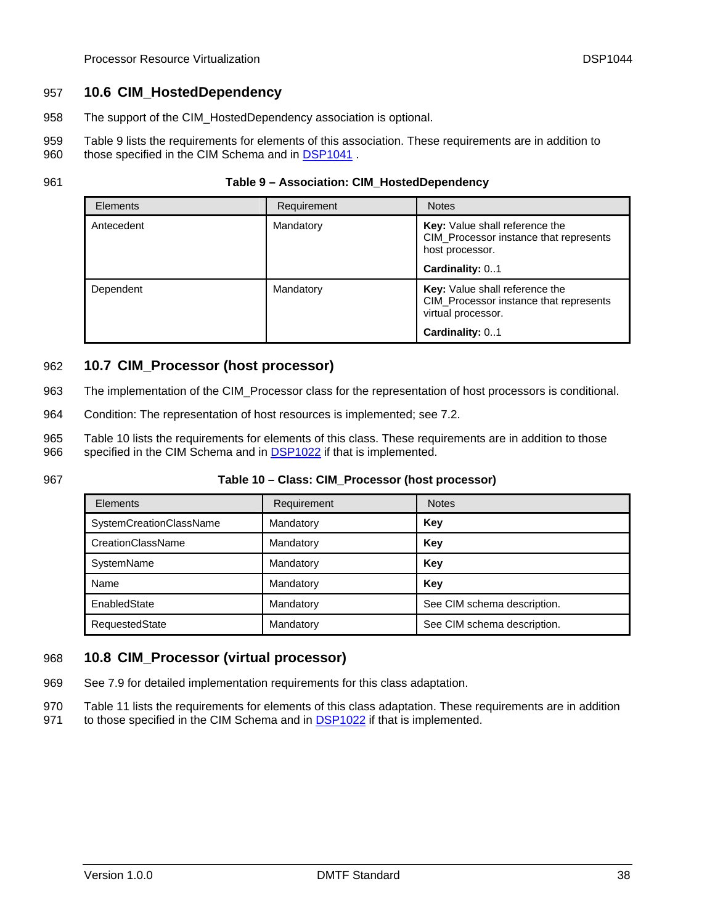#### <span id="page-37-2"></span><span id="page-37-0"></span>957 **10.6 CIM\_HostedDependency**

- 958 The support of the CIM\_HostedDependency association is optional.
- 959 [Table 9](#page-37-4) lists the requirements for elements of this association. These requirements are in addition to
- 960 those specified in the CIM Schema and in [DSP1041](#page-6-0).

#### <span id="page-37-4"></span>961 **Table 9 – Association: CIM\_HostedDependency**

| Elements   | Requirement | <b>Notes</b>                                                                                   |
|------------|-------------|------------------------------------------------------------------------------------------------|
| Antecedent | Mandatory   | Key: Value shall reference the<br>CIM_Processor instance that represents<br>host processor.    |
|            |             | Cardinality: 01                                                                                |
| Dependent  | Mandatory   | Key: Value shall reference the<br>CIM_Processor instance that represents<br>virtual processor. |
|            |             | Cardinality: 01                                                                                |

#### <span id="page-37-3"></span>962 **10.7 CIM\_Processor (host processor)**

- 963 The implementation of the CIM\_Processor class for the representation of host processors is conditional.
- 964 Condition: The representation of host resources is implemented; see [7.2.](#page-16-1)
- 965 [Table 10](#page-37-5) lists the requirements for elements of this class. These requirements are in addition to those 966 specified in the CIM Schema and in [DSP1022](#page-6-0) if that is implemented.

#### <span id="page-37-5"></span>967 **Table 10 – Class: CIM\_Processor (host processor)**

| <b>Elements</b>         | Requirement | <b>Notes</b>                |
|-------------------------|-------------|-----------------------------|
| SystemCreationClassName | Mandatory   | Key                         |
| CreationClassName       | Mandatory   | Key                         |
| SystemName              | Mandatory   | Key                         |
| Name                    | Mandatory   | Key                         |
| EnabledState            | Mandatory   | See CIM schema description. |
| RequestedState          | Mandatory   | See CIM schema description. |

#### <span id="page-37-1"></span>968 **10.8 CIM\_Processor (virtual processor)**

- 969 See [7.9](#page-22-2) for detailed implementation requirements for this class adaptation.
- 970 [Table 11](#page-38-4) lists the requirements for elements of this class adaptation. These requirements are in addition
- 971 to those specified in the CIM Schema and in [DSP1022](#page-6-0) if that is implemented.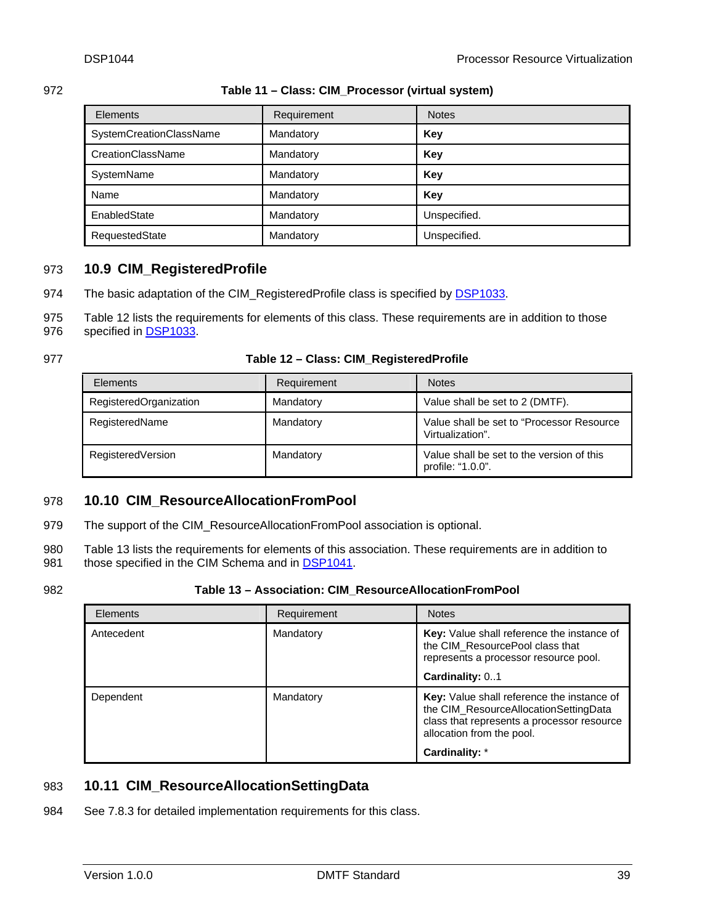<span id="page-38-4"></span><span id="page-38-0"></span>

#### 972 **Table 11 – Class: CIM\_Processor (virtual system)**

| <b>Elements</b>         | Requirement | <b>Notes</b> |
|-------------------------|-------------|--------------|
| SystemCreationClassName | Mandatory   | Key          |
| CreationClassName       | Mandatory   | Key          |
| SystemName              | Mandatory   | Key          |
| Name                    | Mandatory   | Key          |
| EnabledState            | Mandatory   | Unspecified. |
| RequestedState          | Mandatory   | Unspecified. |

## <span id="page-38-3"></span>973 **10.9 CIM\_RegisteredProfile**

974 The basic adaptation of the CIM\_RegisteredProfile class is specified by [DSP1033.](#page-6-0)

975 [Table 12](#page-38-5) lists the requirements for elements of this class. These requirements are in addition to those

976 specified in **DSP1033**.

<span id="page-38-5"></span>

977 **Table 12 – Class: CIM\_RegisteredProfile** 

| Elements               | Requirement | <b>Notes</b>                                                   |
|------------------------|-------------|----------------------------------------------------------------|
| RegisteredOrganization | Mandatory   | Value shall be set to 2 (DMTF).                                |
| RegisteredName         | Mandatory   | Value shall be set to "Processor Resource"<br>Virtualization". |
| RegisteredVersion      | Mandatory   | Value shall be set to the version of this<br>profile: "1.0.0". |

#### <span id="page-38-2"></span>978 **10.10 CIM\_ResourceAllocationFromPool**

979 The support of the CIM\_ResourceAllocationFromPool association is optional.

980 [Table 13](#page-38-6) lists the requirements for elements of this association. These requirements are in addition to 981 those specified in the CIM Schema and in [DSP1041](#page-6-0).

#### <span id="page-38-6"></span>982 **Table 13 – Association: CIM\_ResourceAllocationFromPool**

| Elements   | Requirement | <b>Notes</b>                                                                                                                                                                     |
|------------|-------------|----------------------------------------------------------------------------------------------------------------------------------------------------------------------------------|
| Antecedent | Mandatory   | Key: Value shall reference the instance of<br>the CIM ResourcePool class that<br>represents a processor resource pool.                                                           |
|            |             | Cardinality: 01                                                                                                                                                                  |
| Dependent  | Mandatory   | Key: Value shall reference the instance of<br>the CIM ResourceAllocationSettingData<br>class that represents a processor resource<br>allocation from the pool.<br>Cardinality: * |

## <span id="page-38-1"></span>983 **10.11 CIM\_ResourceAllocationSettingData**

984 See [7.8.3](#page-19-3) for detailed implementation requirements for this class.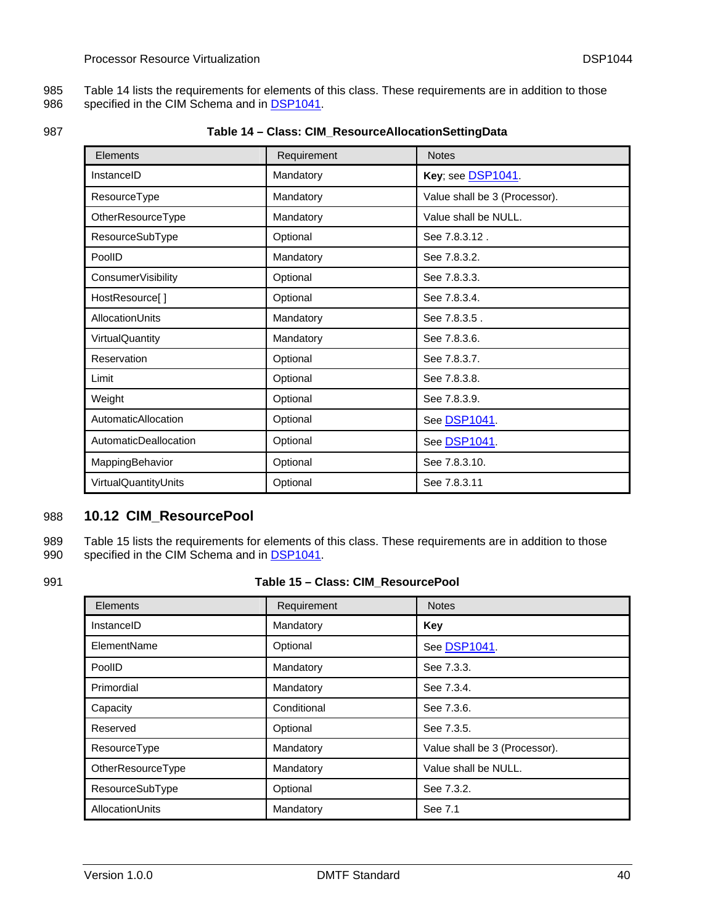<span id="page-39-0"></span>[Table 14](#page-39-2) lists the requirements for elements of this class. These requirements are in addition to those 985

- 986 specified in the CIM Schema and in **DSP1041**.
- <span id="page-39-2"></span>

#### 987 **Table 14 – Class: CIM\_ResourceAllocationSettingData**

| Elements              | Requirement | <b>Notes</b>                      |
|-----------------------|-------------|-----------------------------------|
| InstanceID            | Mandatory   | <b>Key</b> ; see <b>DSP1041</b> . |
| ResourceType          | Mandatory   | Value shall be 3 (Processor).     |
| OtherResourceType     | Mandatory   | Value shall be NULL.              |
| ResourceSubType       | Optional    | See 7.8.3.12.                     |
| PoolID                | Mandatory   | See 7.8.3.2.                      |
| ConsumerVisibility    | Optional    | See 7.8.3.3.                      |
| HostResource[]        | Optional    | See 7.8.3.4.                      |
| AllocationUnits       | Mandatory   | See 7.8.3.5.                      |
| VirtualQuantity       | Mandatory   | See 7.8.3.6.                      |
| Reservation           | Optional    | See 7.8.3.7.                      |
| Limit                 | Optional    | See 7.8.3.8.                      |
| Weight                | Optional    | See 7.8.3.9.                      |
| AutomaticAllocation   | Optional    | See DSP1041.                      |
| AutomaticDeallocation | Optional    | See DSP1041.                      |
| MappingBehavior       | Optional    | See 7.8.3.10.                     |
| VirtualQuantityUnits  | Optional    | See 7.8.3.11                      |

### <span id="page-39-1"></span>988 **10.12 CIM\_ResourcePool**

[Table 15](#page-39-3) lists the requirements for elements of this class. These requirements are in addition to those 990 specified in the CIM Schema and in **DSP1041**. 989

#### <span id="page-39-3"></span>991 **Table 15 – Class: CIM\_ResourcePool**

| Elements          | Requirement | <b>Notes</b>                  |
|-------------------|-------------|-------------------------------|
| InstanceID        | Mandatory   | <b>Key</b>                    |
| ElementName       | Optional    | See DSP1041.                  |
| PoolID            | Mandatory   | See 7.3.3.                    |
| Primordial        | Mandatory   | See 7.3.4.                    |
| Capacity          | Conditional | See 7.3.6.                    |
| Reserved          | Optional    | See 7.3.5.                    |
| ResourceType      | Mandatory   | Value shall be 3 (Processor). |
| OtherResourceType | Mandatory   | Value shall be NULL.          |
| ResourceSubType   | Optional    | See 7.3.2.                    |
| AllocationUnits   | Mandatory   | See 7.1                       |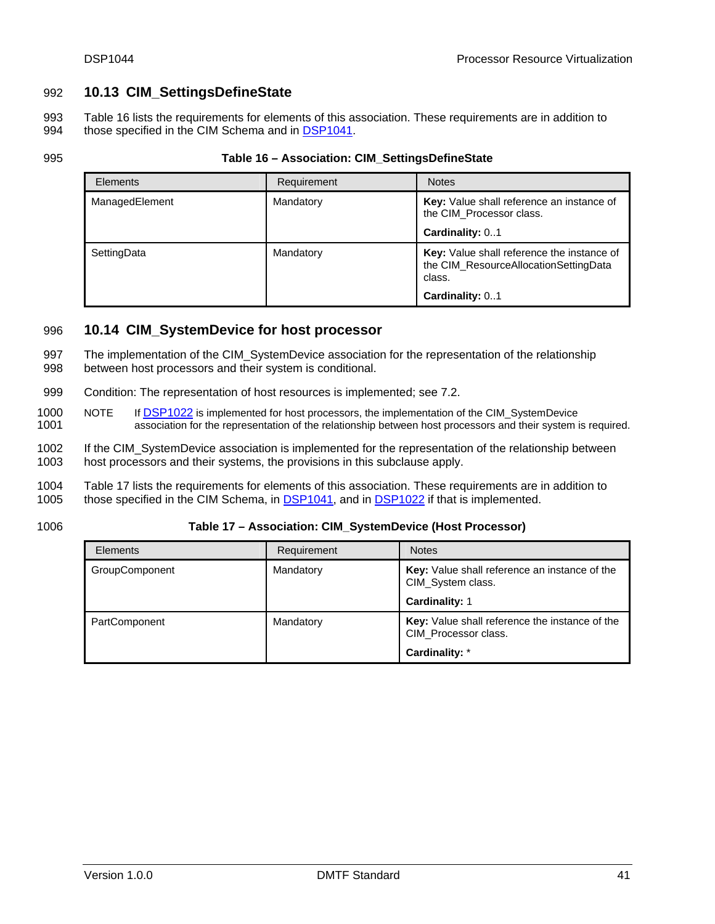### <span id="page-40-1"></span><span id="page-40-0"></span>992 **10.13 CIM\_SettingsDefineState**

[Table 16](#page-40-3) lists the requirements for elements of this association. These requirements are in addition to 994 those specified in the CIM Schema and in **[DSP1041](#page-6-0)**. 993

<span id="page-40-3"></span>

#### 995 **Table 16 – Association: CIM\_SettingsDefineState**

| Elements       | Requirement | <b>Notes</b>                                                                                  |
|----------------|-------------|-----------------------------------------------------------------------------------------------|
| ManagedElement | Mandatory   | Key: Value shall reference an instance of<br>the CIM_Processor class.                         |
|                |             | Cardinality: 01                                                                               |
| SettingData    | Mandatory   | Key: Value shall reference the instance of<br>the CIM_ResourceAllocationSettingData<br>class. |
|                |             | Cardinality: 01                                                                               |

#### <span id="page-40-2"></span>996 **10.14 CIM\_SystemDevice for host processor**

- The implementation of the CIM\_SystemDevice association for the representation of the relationship between host processors and their system is conditional. 997 998
- 999 Condition: The representation of host resources is implemented; see [7.2.](#page-16-1)
- NOTE If [DSP1022](#page-6-0) is implemented for host processors, the implementation of the CIM\_SystemDevice association for the representation of the relationship between host processors and their system is required. 1000 1001
- 1002 1003 If the CIM\_SystemDevice association is implemented for the representation of the relationship between host processors and their systems, the provisions in this subclause apply.
- 1004 [Table 17](#page-40-4) lists the requirements for elements of this association. These requirements are in addition to 1005 those specified in the CIM Schema, in [DSP1041](#page-6-0), and in [DSP1022](#page-6-0) if that is implemented.
- 

#### <span id="page-40-4"></span>1006 **Table 17 – Association: CIM\_SystemDevice (Host Processor)**

| Elements              | Requirement | <b>Notes</b>                                                           |
|-----------------------|-------------|------------------------------------------------------------------------|
| <b>GroupComponent</b> | Mandatory   | Key: Value shall reference an instance of the<br>CIM_System class.     |
|                       |             | <b>Cardinality: 1</b>                                                  |
| PartComponent         | Mandatory   | Key: Value shall reference the instance of the<br>CIM Processor class. |
|                       |             | Cardinality: *                                                         |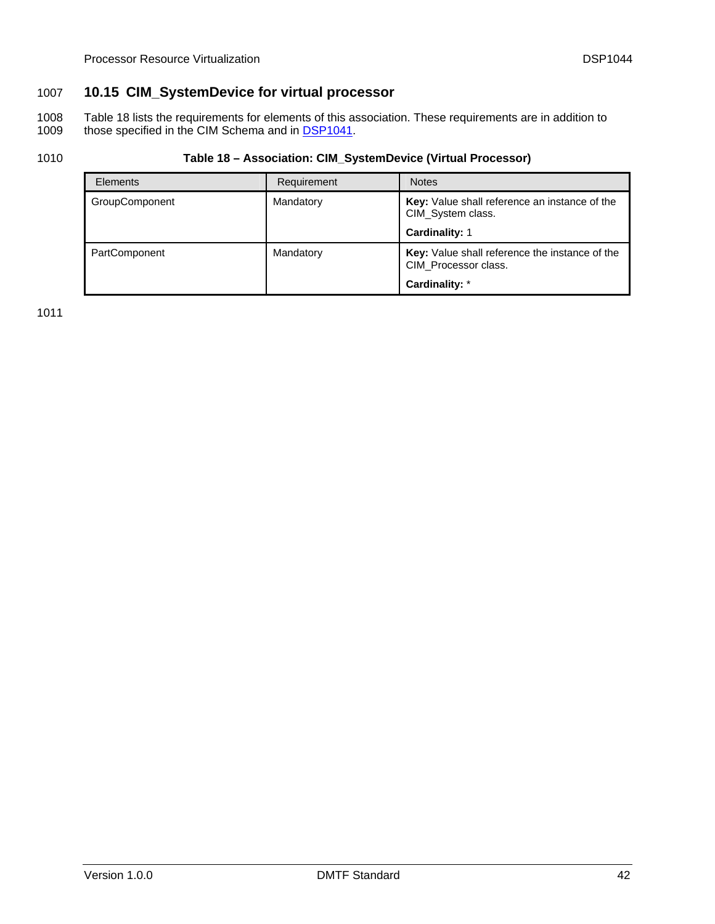## <span id="page-41-1"></span><span id="page-41-0"></span>1007 **10.15 CIM\_SystemDevice for virtual processor**

[Table 18](#page-41-2) lists the requirements for elements of this association. These requirements are in addition to 1009 those specified in the CIM Schema and in **[DSP1041](#page-6-0)**. 1008

#### <span id="page-41-2"></span>1010 **Table 18 – Association: CIM\_SystemDevice (Virtual Processor)**

| Elements       | Requirement | <b>Notes</b>                                                           |
|----------------|-------------|------------------------------------------------------------------------|
| GroupComponent | Mandatory   | Key: Value shall reference an instance of the<br>CIM_System class.     |
|                |             | Cardinality: 1                                                         |
| PartComponent  | Mandatory   | Key: Value shall reference the instance of the<br>CIM Processor class. |
|                |             | Cardinality: *                                                         |

1011